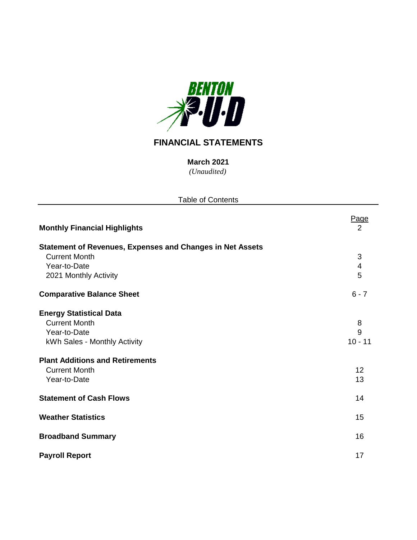

# **FINANCIAL STATEMENTS**

*(Unaudited)* **March 2021**

| <b>Table of Contents</b>                                         |                         |
|------------------------------------------------------------------|-------------------------|
| <b>Monthly Financial Highlights</b>                              | <u>Page</u><br>2        |
| <b>Statement of Revenues, Expenses and Changes in Net Assets</b> |                         |
| <b>Current Month</b>                                             | $\sqrt{3}$              |
| Year-to-Date                                                     | $\overline{\mathbf{4}}$ |
| 2021 Monthly Activity                                            | 5                       |
| <b>Comparative Balance Sheet</b>                                 | $6 - 7$                 |
| <b>Energy Statistical Data</b>                                   |                         |
| <b>Current Month</b>                                             | 8                       |
| Year-to-Date                                                     | 9                       |
| kWh Sales - Monthly Activity                                     | $10 - 11$               |
| <b>Plant Additions and Retirements</b>                           |                         |
| <b>Current Month</b>                                             | 12                      |
| Year-to-Date                                                     | 13                      |
| <b>Statement of Cash Flows</b>                                   | 14                      |
| <b>Weather Statistics</b>                                        | 15                      |
| <b>Broadband Summary</b>                                         | 16                      |
| <b>Payroll Report</b>                                            | 17                      |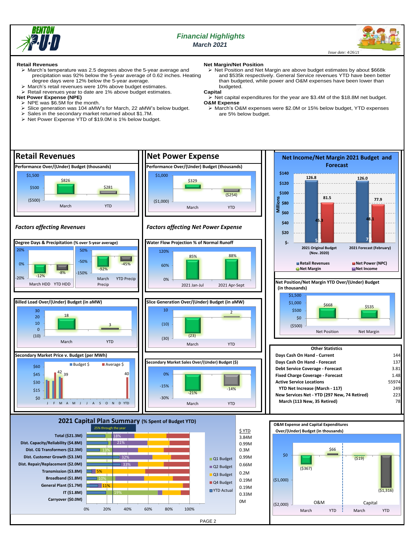

## *Financial Highlights March 2021*

 *Issue date: 4/26/21*

#### **Retail Revenues**

- ➢ March's temperature was 2.5 degrees above the 5-year average and precipitation was 92% below the 5-year average of 0.62 inches. Heating degree days were 12% below the 5-year average.
- ➢ March's retail revenues were 10% above budget estimates.
- Retail revenues year to date are 1% above budget estimates.
- **Net Power Expense (NPE)**
	- $\geq$  NPE was \$6.5M for the month.<br> $\geq$  Slice generation was 104 aMW
		- ➢ Slice generation was 104 aMW's for March, 22 aMW's below budget.
	- Sales in the secondary market returned about \$1.7M.
	- ➢ Net Power Expense YTD of \$19.0M is 1% below budget.
- **Net Margin/Net Position** ➢ Net Position and Net Margin are above budget estimates by about \$668k and \$535k respectively. General Service revenues YTD have been better than budgeted, while power and O&M expenses have been lower than budgeted.

## **Capital**

- $\geq$  Net capital expenditures for the year are \$3.4M of the \$18.8M net budget. **O&M Expense**
	- ➢ March's O&M expenses were \$2.0M or 15% below budget, YTD expenses are 5% below budget.

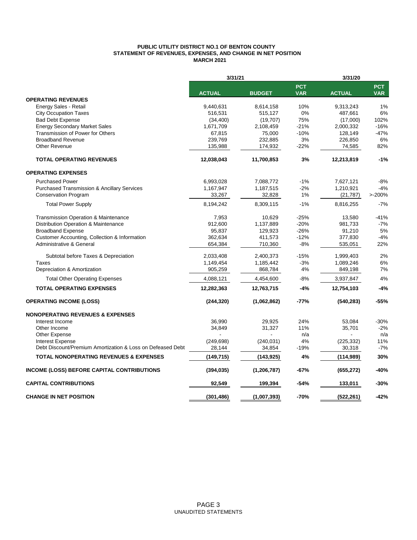## **PUBLIC UTILITY DISTRICT NO.1 OF BENTON COUNTY STATEMENT OF REVENUES, EXPENSES, AND CHANGE IN NET POSITION MARCH 2021**

|                                                            | 3/31/21       |               |                          | 3/31/20       |                          |  |
|------------------------------------------------------------|---------------|---------------|--------------------------|---------------|--------------------------|--|
|                                                            | <b>ACTUAL</b> | <b>BUDGET</b> | <b>PCT</b><br><b>VAR</b> | <b>ACTUAL</b> | <b>PCT</b><br><b>VAR</b> |  |
| <b>OPERATING REVENUES</b>                                  |               |               |                          |               |                          |  |
| Energy Sales - Retail                                      | 9,440,631     | 8,614,158     | 10%                      | 9,313,243     | 1%                       |  |
| <b>City Occupation Taxes</b>                               | 516,531       | 515,127       | 0%                       | 487,661       | 6%                       |  |
| <b>Bad Debt Expense</b>                                    | (34, 400)     | (19,707)      | 75%                      | (17,000)      | 102%                     |  |
| <b>Energy Secondary Market Sales</b>                       | 1,671,709     | 2,108,459     | $-21%$                   | 2,000,332     | $-16%$                   |  |
| Transmission of Power for Others                           | 67,815        | 75,000        | $-10%$                   | 128,149       | $-47%$                   |  |
| <b>Broadband Revenue</b>                                   | 239,769       | 232,885       | 3%                       | 226,850       | 6%                       |  |
| <b>Other Revenue</b>                                       | 135,988       | 174,932       | $-22%$                   | 74,585        | 82%                      |  |
| <b>TOTAL OPERATING REVENUES</b>                            | 12,038,043    | 11,700,853    | 3%                       | 12,213,819    | $-1%$                    |  |
| <b>OPERATING EXPENSES</b>                                  |               |               |                          |               |                          |  |
| <b>Purchased Power</b>                                     | 6,993,028     | 7,088,772     | $-1%$                    | 7,627,121     | $-8%$                    |  |
| <b>Purchased Transmission &amp; Ancillary Services</b>     | 1,167,947     | 1,187,515     | $-2%$                    | 1,210,921     | $-4%$                    |  |
| <b>Conservation Program</b>                                | 33,267        | 32,828        | 1%                       | (21, 787)     | >200%                    |  |
| <b>Total Power Supply</b>                                  | 8,194,242     | 8,309,115     | $-1%$                    | 8,816,255     | $-7%$                    |  |
| Transmission Operation & Maintenance                       | 7,953         | 10,629        | $-25%$                   | 13,580        | $-41%$                   |  |
| Distribution Operation & Maintenance                       | 912,600       | 1,137,889     | $-20%$                   | 981,733       | $-7%$                    |  |
| <b>Broadband Expense</b>                                   | 95,837        | 129,923       | $-26%$                   | 91,210        | 5%                       |  |
| Customer Accounting, Collection & Information              | 362,634       | 411,573       | $-12%$                   | 377,830       | $-4%$                    |  |
| Administrative & General                                   | 654,384       | 710,360       | $-8%$                    | 535,051       | 22%                      |  |
| Subtotal before Taxes & Depreciation                       | 2,033,408     | 2,400,373     | $-15%$                   | 1,999,403     | 2%                       |  |
| Taxes                                                      | 1,149,454     | 1,185,442     | $-3%$                    | 1,089,246     | 6%                       |  |
| Depreciation & Amortization                                | 905,259       | 868,784       | 4%                       | 849,198       | 7%                       |  |
| <b>Total Other Operating Expenses</b>                      | 4,088,121     | 4,454,600     | $-8%$                    | 3,937,847     | 4%                       |  |
| <b>TOTAL OPERATING EXPENSES</b>                            | 12,282,363    | 12,763,715    | $-4%$                    | 12,754,103    | $-4%$                    |  |
| <b>OPERATING INCOME (LOSS)</b>                             | (244, 320)    | (1,062,862)   | $-77%$                   | (540, 283)    | -55%                     |  |
| <b>NONOPERATING REVENUES &amp; EXPENSES</b>                |               |               |                          |               |                          |  |
| Interest Income                                            | 36,990        | 29,925        | 24%                      | 53,084        | $-30%$                   |  |
| Other Income                                               | 34,849        | 31,327        | 11%                      | 35,701        | $-2%$                    |  |
| Other Expense                                              |               |               | n/a                      |               | n/a                      |  |
| <b>Interest Expense</b>                                    | (249, 698)    | (240, 031)    | 4%                       | (225, 332)    | 11%                      |  |
| Debt Discount/Premium Amortization & Loss on Defeased Debt | 28,144        | 34,854        | $-19%$                   | 30,318        | $-7%$                    |  |
| <b>TOTAL NONOPERATING REVENUES &amp; EXPENSES</b>          | (149,715)     | (143, 925)    | 4%                       | (114, 989)    | 30%                      |  |
| <b>INCOME (LOSS) BEFORE CAPITAL CONTRIBUTIONS</b>          | (394, 035)    | (1, 206, 787) | $-67%$                   | (655, 272)    | $-40%$                   |  |
| <b>CAPITAL CONTRIBUTIONS</b>                               | 92,549        | 199,394       | $-54%$                   | 133,011       | $-30%$                   |  |
| <b>CHANGE IN NET POSITION</b>                              | (301, 486)    | (1,007,393)   | $-70%$                   | (522, 261)    | $-42%$                   |  |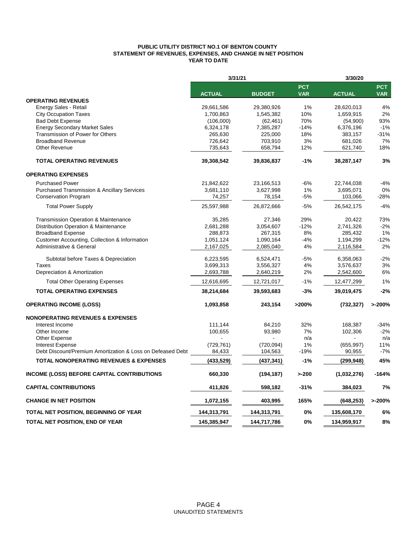### **PUBLIC UTILITY DISTRICT NO.1 OF BENTON COUNTY STATEMENT OF REVENUES, EXPENSES, AND CHANGE IN NET POSITION YEAR TO DATE**

|                                                            | 3/31/21       |               |                          | 3/30/20       |                          |  |  |
|------------------------------------------------------------|---------------|---------------|--------------------------|---------------|--------------------------|--|--|
|                                                            | <b>ACTUAL</b> | <b>BUDGET</b> | <b>PCT</b><br><b>VAR</b> | <b>ACTUAL</b> | <b>PCT</b><br><b>VAR</b> |  |  |
| <b>OPERATING REVENUES</b>                                  |               |               |                          |               |                          |  |  |
| Energy Sales - Retail                                      | 29,661,586    | 29.380.926    | 1%                       | 28.620.013    | 4%                       |  |  |
| <b>City Occupation Taxes</b>                               | 1,700,863     | 1,545,382     | 10%                      | 1,659,915     | 2%                       |  |  |
| <b>Bad Debt Expense</b>                                    | (106,000)     | (62, 461)     | 70%                      | (54,900)      | 93%                      |  |  |
| <b>Energy Secondary Market Sales</b>                       | 6,324,178     | 7,385,287     | $-14%$                   | 6,376,196     | $-1%$                    |  |  |
| Transmission of Power for Others                           | 265,630       | 225,000       | 18%                      | 383,157       | $-31%$                   |  |  |
| <b>Broadband Revenue</b>                                   | 726,642       | 703,910       | 3%                       | 681,026       | 7%                       |  |  |
| <b>Other Revenue</b>                                       | 735,643       | 658,794       | 12%                      | 621,740       | 18%                      |  |  |
| <b>TOTAL OPERATING REVENUES</b>                            | 39,308,542    | 39,836,837    | $-1%$                    | 38,287,147    | 3%                       |  |  |
| <b>OPERATING EXPENSES</b>                                  |               |               |                          |               |                          |  |  |
| <b>Purchased Power</b>                                     | 21,842,622    | 23,166,513    | $-6%$                    | 22,744,038    | $-4%$                    |  |  |
| <b>Purchased Transmission &amp; Ancillary Services</b>     | 3,681,110     | 3,627,998     | 1%                       | 3,695,071     | 0%                       |  |  |
| <b>Conservation Program</b>                                | 74,257        | 78,154        | $-5%$                    | 103,066       | $-28%$                   |  |  |
| <b>Total Power Supply</b>                                  | 25,597,988    | 26,872,666    | $-5%$                    | 26,542,175    | $-4%$                    |  |  |
| <b>Transmission Operation &amp; Maintenance</b>            | 35,285        | 27,346        | 29%                      | 20,422        | 73%                      |  |  |
| Distribution Operation & Maintenance                       | 2,681,288     | 3,054,607     | $-12%$                   | 2,741,326     | $-2%$                    |  |  |
| <b>Broadband Expense</b>                                   | 288,873       | 267,315       | 8%                       | 285,432       | 1%                       |  |  |
| Customer Accounting, Collection & Information              | 1,051,124     | 1,090,164     | $-4%$                    | 1,194,299     | $-12%$                   |  |  |
| <b>Administrative &amp; General</b>                        | 2,167,025     | 2,085,040     | 4%                       | 2,116,584     | 2%                       |  |  |
| Subtotal before Taxes & Depreciation                       | 6,223,595     | 6,524,471     | $-5%$                    | 6,358,063     | $-2%$                    |  |  |
| Taxes                                                      | 3,699,313     | 3,556,327     | 4%                       | 3,576,637     | 3%                       |  |  |
| Depreciation & Amortization                                | 2,693,788     | 2,640,219     | 2%                       | 2,542,600     | 6%                       |  |  |
| <b>Total Other Operating Expenses</b>                      | 12,616,695    | 12,721,017    | $-1%$                    | 12,477,299    | 1%                       |  |  |
| <b>TOTAL OPERATING EXPENSES</b>                            | 38,214,684    | 39,593,683    | -3%                      | 39,019,475    | $-2%$                    |  |  |
| <b>OPERATING INCOME (LOSS)</b>                             | 1,093,858     | 243,154       | >200%                    | (732, 327)    | >200%                    |  |  |
| <b>NONOPERATING REVENUES &amp; EXPENSES</b>                |               |               |                          |               |                          |  |  |
| Interest Income                                            | 111,144       | 84,210        | 32%                      | 168,387       | $-34%$                   |  |  |
| Other Income                                               | 100,655       | 93,980        | 7%                       | 102,306       | $-2%$                    |  |  |
| Other Expense                                              |               |               | n/a                      |               | n/a                      |  |  |
| <b>Interest Expense</b>                                    | (729, 761)    | (720, 094)    | 1%                       | (655, 997)    | 11%                      |  |  |
| Debt Discount/Premium Amortization & Loss on Defeased Debt | 84,433        | 104,563       | $-19%$                   | 90,955        | $-7%$                    |  |  |
| <b>TOTAL NONOPERATING REVENUES &amp; EXPENSES</b>          | (433, 529)    | (437, 341)    | $-1%$                    | (299, 948)    | 45%                      |  |  |
| INCOME (LOSS) BEFORE CAPITAL CONTRIBUTIONS                 | 660,330       | (194, 187)    | $> -200$                 | (1,032,276)   | $-164%$                  |  |  |
| <b>CAPITAL CONTRIBUTIONS</b>                               | 411,826       | 598,182       | $-31%$                   | 384,023       | 7%                       |  |  |
| <b>CHANGE IN NET POSITION</b>                              | 1,072,155     | 403,995       | 165%                     | (648, 253)    | >200%                    |  |  |
| <b>TOTAL NET POSITION, BEGINNING OF YEAR</b>               | 144,313,791   | 144,313,791   | 0%                       | 135,608,170   | 6%                       |  |  |
| TOTAL NET POSITION, END OF YEAR                            | 145,385,947   | 144,717,786   | 0%                       | 134,959,917   | 8%                       |  |  |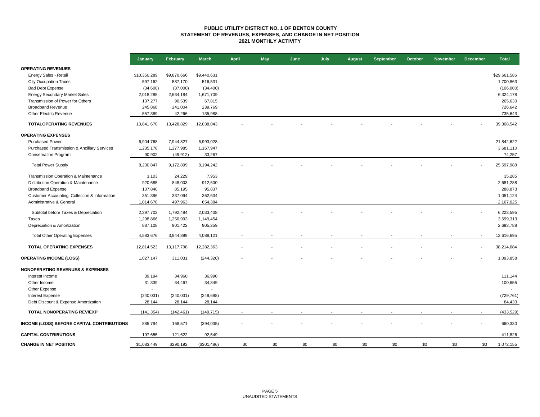#### **PUBLIC UTILITY DISTRICT NO. 1 OF BENTON COUNTY STATEMENT OF REVENUES, EXPENSES, AND CHANGE IN NET POSITION 2021 MONTHLY ACTIVITY**

|                                               | January                  | February       | <b>March</b> | <b>April</b>             | <b>May</b> | June | July | <b>August</b> | <b>September</b> | October | <b>November</b> | <b>December</b> | <b>Total</b>   |
|-----------------------------------------------|--------------------------|----------------|--------------|--------------------------|------------|------|------|---------------|------------------|---------|-----------------|-----------------|----------------|
| <b>OPERATING REVENUES</b>                     |                          |                |              |                          |            |      |      |               |                  |         |                 |                 |                |
| Energy Sales - Retail                         | \$10,350,289             | \$9,870,666    | \$9,440,631  |                          |            |      |      |               |                  |         |                 |                 | \$29,661,586   |
| <b>City Occupation Taxes</b>                  | 597,162                  | 587,170        | 516,531      |                          |            |      |      |               |                  |         |                 |                 | 1,700,863      |
| <b>Bad Debt Expense</b>                       | (34,600)                 | (37,000)       | (34, 400)    |                          |            |      |      |               |                  |         |                 |                 | (106,000)      |
| <b>Energy Secondary Market Sales</b>          | 2,018,285                | 2,634,184      | 1,671,709    |                          |            |      |      |               |                  |         |                 |                 | 6,324,178      |
| Transmission of Power for Others              | 107,277                  | 90,539         | 67,815       |                          |            |      |      |               |                  |         |                 |                 | 265,630        |
| <b>Broadband Revenue</b>                      | 245,868                  | 241,004        | 239,769      |                          |            |      |      |               |                  |         |                 |                 | 726,642        |
| Other Electric Revenue                        | 557,389                  | 42,266         | 135,988      |                          |            |      |      |               |                  |         |                 |                 | 735,643        |
| <b>TOTALOPERATING REVENUES</b>                | 13,841,670               | 13,428,829     | 12,038,043   |                          |            |      |      |               |                  |         |                 |                 | 39,308,542     |
| <b>OPERATING EXPENSES</b>                     |                          |                |              |                          |            |      |      |               |                  |         |                 |                 |                |
| <b>Purchased Power</b>                        | 6,904,768                | 7,944,827      | 6,993,028    |                          |            |      |      |               |                  |         |                 |                 | 21,842,622     |
| Purchased Transmission & Ancillary Services   | 1,235,178                | 1,277,985      | 1,167,947    |                          |            |      |      |               |                  |         |                 |                 | 3,681,110      |
| <b>Conservation Program</b>                   | 90,902                   | (49, 912)      | 33,267       |                          |            |      |      |               |                  |         |                 |                 | 74,257         |
| <b>Total Power Supply</b>                     | 8,230,847                | 9,172,899      | 8,194,242    |                          |            |      |      |               |                  |         |                 |                 | 25,597,988     |
| Transmission Operation & Maintenance          | 3,103                    | 24,229         | 7,953        |                          |            |      |      |               |                  |         |                 |                 | 35,285         |
| Distribution Operation & Maintenance          | 920,685                  | 848,003        | 912,600      |                          |            |      |      |               |                  |         |                 |                 | 2,681,288      |
| <b>Broadband Expense</b>                      | 107,840                  | 85,195         | 95,837       |                          |            |      |      |               |                  |         |                 |                 | 288,873        |
| Customer Accounting, Collection & Information | 351,396                  | 337,094        | 362,634      |                          |            |      |      |               |                  |         |                 |                 | 1,051,124      |
| Administrative & General                      | 1,014,678                | 497,963        | 654,384      |                          |            |      |      |               |                  |         |                 |                 | 2,167,025      |
| Subtotal before Taxes & Depreciation          | 2,397,702                | 1,792,484      | 2,033,408    |                          |            |      |      |               |                  |         |                 |                 | 6,223,595      |
| <b>Taxes</b>                                  | 1,298,866                | 1,250,993      | 1,149,454    |                          |            |      |      |               |                  |         |                 |                 | 3,699,313      |
| Depreciation & Amortization                   | 887,108                  | 901,422        | 905,259      |                          |            |      |      |               |                  |         |                 |                 | 2,693,788      |
|                                               |                          |                |              |                          |            |      |      |               |                  |         |                 |                 |                |
| <b>Total Other Operating Expenses</b>         | 4,583,676                | 3,944,899      | 4,088,121    |                          |            |      |      |               |                  |         |                 |                 | 12,616,695     |
| TOTAL OPERATING EXPENSES                      | 12,814,523               | 13,117,798     | 12,282,363   |                          |            |      |      |               |                  |         |                 |                 | 38,214,684     |
| <b>OPERATING INCOME (LOSS)</b>                | 1,027,147                | 311,031        | (244, 320)   |                          |            |      |      |               |                  |         |                 |                 | 1,093,858      |
| <b>NONOPERATING REVENUES &amp; EXPENSES</b>   |                          |                |              |                          |            |      |      |               |                  |         |                 |                 |                |
| Interest Income                               | 39,194                   | 34,960         | 36,990       |                          |            |      |      |               |                  |         |                 |                 | 111,144        |
| Other Income                                  | 31,339                   | 34,467         | 34,849       |                          |            |      |      |               |                  |         |                 |                 | 100,655        |
| Other Expense                                 | $\overline{\phantom{a}}$ | $\blacksquare$ |              |                          |            |      |      |               |                  |         |                 |                 | $\overline{a}$ |
| Interest Expense                              | (240, 031)               | (240, 031)     | (249, 698)   |                          |            |      |      |               |                  |         |                 |                 | (729, 761)     |
| Debt Discount & Expense Amortization          | 28,144                   | 28,144         | 28,144       |                          |            |      |      |               |                  |         |                 |                 | 84,433         |
| <b>TOTAL NONOPERATING REV/EXP</b>             | (141, 354)               | (142, 461)     | (149, 715)   | $\overline{\phantom{a}}$ |            |      |      |               |                  |         |                 |                 | (433, 529)     |
| INCOME (LOSS) BEFORE CAPITAL CONTRIBUTIONS    | 885,794                  | 168,571        | (394, 035)   |                          |            |      |      |               |                  |         |                 |                 | 660,330        |
| <b>CAPITAL CONTRIBUTIONS</b>                  | 197,655                  | 121,622        | 92,549       |                          |            |      |      |               |                  |         |                 |                 | 411,826        |
| <b>CHANGE IN NET POSITION</b>                 | \$1,083,449              | \$290,192      | (\$301,486)  | \$0                      | \$0        | \$0  | \$0  | \$0           | \$0              | \$0     | \$0             | \$0             | 1,072,155      |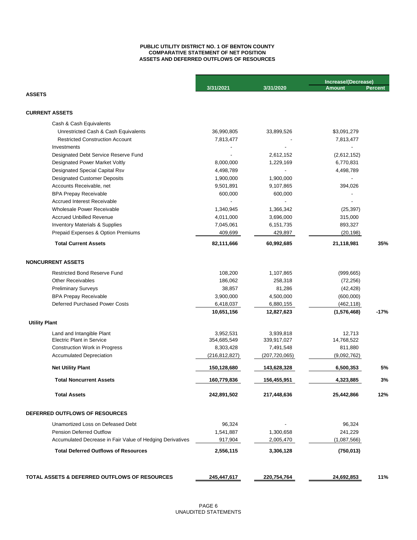#### **PUBLIC UTILITY DISTRICT NO. 1 OF BENTON COUNTY COMPARATIVE STATEMENT OF NET POSITION ASSETS AND DEFERRED OUTFLOWS OF RESOURCES**

|                                                           |                 |                 | Increase/(Decrease) |         |
|-----------------------------------------------------------|-----------------|-----------------|---------------------|---------|
| <b>ASSETS</b>                                             | 3/31/2021       | 3/31/2020       | <b>Amount</b>       | Percent |
|                                                           |                 |                 |                     |         |
| <b>CURRENT ASSETS</b>                                     |                 |                 |                     |         |
| Cash & Cash Equivalents                                   |                 |                 |                     |         |
| Unrestricted Cash & Cash Equivalents                      | 36,990,805      | 33,899,526      | \$3,091,279         |         |
| <b>Restricted Construction Account</b>                    | 7,813,477       |                 | 7,813,477           |         |
| Investments                                               |                 |                 |                     |         |
| Designated Debt Service Reserve Fund                      |                 | 2,612,152       | (2,612,152)         |         |
| Designated Power Market Voltly                            | 8,000,000       | 1,229,169       | 6,770,831           |         |
| <b>Designated Special Capital Rsv</b>                     | 4,498,789       |                 | 4,498,789           |         |
| <b>Designated Customer Deposits</b>                       | 1,900,000       | 1,900,000       |                     |         |
| Accounts Receivable, net                                  | 9,501,891       | 9,107,865       | 394,026             |         |
| <b>BPA Prepay Receivable</b>                              | 600,000         | 600,000         |                     |         |
| <b>Accrued Interest Receivable</b>                        |                 |                 |                     |         |
| Wholesale Power Receivable                                | 1,340,945       | 1,366,342       | (25, 397)           |         |
| <b>Accrued Unbilled Revenue</b>                           | 4,011,000       | 3,696,000       | 315,000             |         |
| <b>Inventory Materials &amp; Supplies</b>                 | 7,045,061       | 6,151,735       | 893,327             |         |
| Prepaid Expenses & Option Premiums                        | 409,699         | 429,897         | (20, 198)           |         |
| <b>Total Current Assets</b>                               | 82,111,666      | 60,992,685      | 21,118,981          | 35%     |
| <b>NONCURRENT ASSETS</b>                                  |                 |                 |                     |         |
| <b>Restricted Bond Reserve Fund</b>                       | 108,200         | 1,107,865       | (999, 665)          |         |
| <b>Other Receivables</b>                                  | 186,062         | 258,318         | (72, 256)           |         |
| <b>Preliminary Surveys</b>                                | 38,857          | 81,286          | (42, 428)           |         |
| <b>BPA Prepay Receivable</b>                              | 3,900,000       | 4,500,000       | (600,000)           |         |
| <b>Deferred Purchased Power Costs</b>                     | 6,418,037       | 6,880,155       | (462, 118)          |         |
|                                                           | 10,651,156      | 12,827,623      | (1,576,468)         | $-17%$  |
| <b>Utility Plant</b>                                      |                 |                 |                     |         |
| Land and Intangible Plant                                 | 3,952,531       | 3,939,818       | 12,713              |         |
| <b>Electric Plant in Service</b>                          | 354,685,549     | 339,917,027     | 14,768,522          |         |
| <b>Construction Work in Progress</b>                      | 8,303,428       | 7,491,548       | 811,880             |         |
| <b>Accumulated Depreciation</b>                           | (216, 812, 827) | (207, 720, 065) | (9,092,762)         |         |
| <b>Net Utility Plant</b>                                  | 150,128,680     | 143,628,328     | 6,500,353           | 5%      |
| <b>Total Noncurrent Assets</b>                            | 160,779,836     | 156,455,951     | 4,323,885           | 3%      |
| <b>Total Assets</b>                                       | 242,891,502     | 217,448,636     | 25,442,866          | 12%     |
| DEFERRED OUTFLOWS OF RESOURCES                            |                 |                 |                     |         |
| Unamortized Loss on Defeased Debt                         | 96,324          |                 | 96,324              |         |
| <b>Pension Deferred Outflow</b>                           | 1,541,887       | 1,300,658       | 241,229             |         |
| Accumulated Decrease in Fair Value of Hedging Derivatives | 917,904         | 2,005,470       | (1,087,566)         |         |
| <b>Total Deferred Outflows of Resources</b>               | 2,556,115       | 3,306,128       | (750, 013)          |         |
|                                                           |                 |                 |                     |         |
| TOTAL ASSETS & DEFERRED OUTFLOWS OF RESOURCES             | 245,447,617     | 220,754,764     | 24,692,853          | 11%     |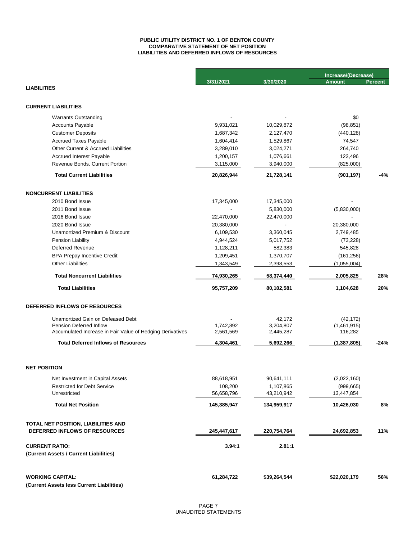### **LIABILITIES AND DEFERRED INFLOWS OF RESOURCES PUBLIC UTILITY DISTRICT NO. 1 OF BENTON COUNTY COMPARATIVE STATEMENT OF NET POSITION**

|                                                                      |             |              | Increase/(Decrease) |                |
|----------------------------------------------------------------------|-------------|--------------|---------------------|----------------|
|                                                                      | 3/31/2021   | 3/30/2020    | <b>Amount</b>       | <b>Percent</b> |
| <b>LIABILITIES</b>                                                   |             |              |                     |                |
| <b>CURRENT LIABILITIES</b>                                           |             |              |                     |                |
| <b>Warrants Outstanding</b>                                          |             |              | \$0                 |                |
| <b>Accounts Payable</b>                                              | 9,931,021   | 10,029,872   | (98, 851)           |                |
| <b>Customer Deposits</b>                                             | 1,687,342   | 2,127,470    | (440, 128)          |                |
| <b>Accrued Taxes Payable</b>                                         | 1,604,414   | 1,529,867    | 74,547              |                |
| Other Current & Accrued Liabilities                                  | 3,289,010   | 3,024,271    | 264,740             |                |
| <b>Accrued Interest Payable</b>                                      | 1,200,157   | 1,076,661    | 123,496             |                |
| Revenue Bonds, Current Portion                                       | 3,115,000   | 3,940,000    | (825,000)           |                |
| <b>Total Current Liabilities</b>                                     | 20,826,944  | 21,728,141   | (901, 197)          | -4%            |
|                                                                      |             |              |                     |                |
| <b>NONCURRENT LIABILITIES</b>                                        |             |              |                     |                |
| 2010 Bond Issue                                                      | 17,345,000  | 17,345,000   |                     |                |
| 2011 Bond Issue                                                      |             | 5,830,000    | (5,830,000)         |                |
| 2016 Bond Issue                                                      | 22,470,000  | 22,470,000   |                     |                |
| 2020 Bond Issue                                                      | 20,380,000  |              | 20,380,000          |                |
| Unamortized Premium & Discount                                       | 6,109,530   | 3,360,045    | 2,749,485           |                |
| Pension Liability                                                    | 4,944,524   | 5,017,752    | (73, 228)           |                |
| <b>Deferred Revenue</b>                                              | 1,128,211   | 582,383      | 545,828             |                |
| <b>BPA Prepay Incentive Credit</b>                                   | 1,209,451   | 1,370,707    | (161, 256)          |                |
| <b>Other Liabilities</b>                                             | 1,343,549   | 2,398,553    | (1,055,004)         |                |
| <b>Total Noncurrent Liabilities</b>                                  | 74,930,265  | 58,374,440   | 2,005,825           | 28%            |
| <b>Total Liabilities</b>                                             | 95,757,209  | 80,102,581   | 1,104,628           | 20%            |
| DEFERRED INFLOWS OF RESOURCES                                        |             |              |                     |                |
| Unamortized Gain on Defeased Debt                                    |             | 42,172       | (42, 172)           |                |
| Pension Deferred Inflow                                              | 1,742,892   | 3,204,807    | (1,461,915)         |                |
| Accumulated Increase in Fair Value of Hedging Derivatives            | 2,561,569   | 2,445,287    | 116,282             |                |
| <b>Total Deferred Inflows of Resources</b>                           | 4,304,461   | 5,692,266    | (1, 387, 805)       | $-24%$         |
|                                                                      |             |              |                     |                |
| <b>NET POSITION</b>                                                  |             |              |                     |                |
| Net Investment in Capital Assets                                     | 88,618,951  | 90,641,111   | (2,022,160)         |                |
| <b>Restricted for Debt Service</b>                                   | 108,200     | 1,107,865    | (999, 665)          |                |
| Unrestricted                                                         | 56,658,796  | 43,210,942   | 13,447,854          |                |
| <b>Total Net Position</b>                                            | 145,385,947 | 134,959,917  | 10,426,030          | 8%             |
| TOTAL NET POSITION, LIABILITIES AND                                  |             |              |                     |                |
| DEFERRED INFLOWS OF RESOURCES                                        | 245,447,617 | 220,754,764  | 24,692,853          | 11%            |
| <b>CURRENT RATIO:</b>                                                | 3.94:1      | 2.81:1       |                     |                |
| (Current Assets / Current Liabilities)                               |             |              |                     |                |
|                                                                      |             |              |                     |                |
| <b>WORKING CAPITAL:</b><br>(Current Assets less Current Liabilities) | 61,284,722  | \$39,264,544 | \$22,020,179        | 56%            |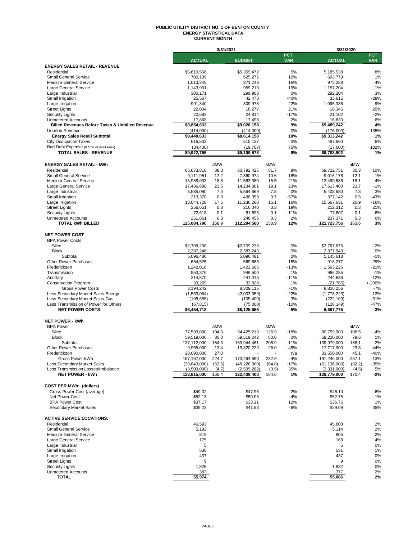#### **PUBLIC UTILITY DISTRICT NO. 1 OF BENTON COUNTY ENERGY STATISTICAL DATA CURRENT MONTH**

|                                                                          |                          | 3/31/2021 |                         |        |              | 3/31/2020               |        |                  |
|--------------------------------------------------------------------------|--------------------------|-----------|-------------------------|--------|--------------|-------------------------|--------|------------------|
|                                                                          |                          |           |                         |        | <b>PCT</b>   |                         |        | <b>PCT</b>       |
|                                                                          | <b>ACTUAL</b>            |           | <b>BUDGET</b>           |        | <b>VAR</b>   | <b>ACTUAL</b>           |        | <b>VAR</b>       |
| <b>ENERGY SALES RETAIL - REVENUE</b>                                     |                          |           | \$5,359,472             |        | 5%           |                         |        | 8%               |
| Residential<br><b>Small General Service</b>                              | \$5,619,556<br>700,139   |           | 625,276                 |        | 12%          | 5,185,538<br>693,779    |        | 1%               |
| <b>Medium General Service</b>                                            | 1,013,345                |           | 871,248                 |        | 16%          | 973,288                 |        | 4%               |
| Large General Service                                                    | 1,143,931                |           | 959,213                 |        | 19%          | 1,157,204               |        | $-1%$            |
| Large Industrial                                                         | 300,171                  |           | 299,903                 |        | 0%           | 292,204                 |        | 3%               |
| Small Irrigation                                                         | 25,567                   |           | 42,478                  |        | $-40%$       | 35,615                  |        | $-28%$           |
| Large Irrigation                                                         | 991,340                  |           | 809,978                 |        | 22%          | 1,095,336               |        | $-9%$            |
| <b>Street Lights</b>                                                     | 22,034                   |           | 18,277                  |        | 21%          | 18,346                  |        | 20%              |
| <b>Security Lights</b>                                                   | 20,682                   |           | 24,814                  |        | $-17%$       | 21,102                  |        | $-2%$            |
| <b>Unmetered Accounts</b>                                                | 17,868                   |           | 17,498                  |        | 2%           | 16,830                  |        | 6%               |
| <b>Billed Revenues Before Taxes &amp; Unbilled Revenue</b>               | \$9,854,633              |           | \$9,028,158             |        | 9%           | \$9,489,242             |        | 4%               |
| <b>Unbilled Revenue</b>                                                  | (414,000)                |           | (414,000)               |        | 0%           | (176,000)               |        | 135%             |
| <b>Energy Sales Retail Subtotal</b>                                      | \$9,440,633              |           | \$8,614,158             |        | 10%          | \$9,313,242             |        | 1%               |
| <b>City Occupation Taxes</b>                                             | 516,532                  |           | 515,127                 |        | 0%           | 487,660                 |        | 6%               |
| Bad Debt Expense (0.16% of retail sales)                                 | (34, 400)                |           | (19,707)                |        | 75%          | (17,000)                |        | 102%             |
| <b>TOTAL SALES - REVENUE</b>                                             | \$9,922,765              |           | \$9,109,578             |        | 9%           | \$9,783,902             |        | 1%               |
|                                                                          |                          |           |                         |        |              |                         |        |                  |
| <b>ENERGY SALES RETAIL - kWh</b>                                         |                          | aMW       |                         | aMW    |              |                         | aMW    |                  |
| Residential                                                              | 65,673,818               | 88.3      | 60,792,425              | 81.7   | 8%           | 59,722,751              | 80.3   | 10%              |
| <b>Small General Service</b>                                             | 9,111,951                | 12.2      | 7,860,974               | 10.6   | 16%          | 9,016,176               | 12.1   | 1%               |
| <b>Medium General Service</b>                                            | 13,988,033               | 18.8      | 11,563,380              | 15.5   | 21%          | 13,490,686              | 18.1   | 4%               |
| Large General Service                                                    | 17,486,680               | 23.5      | 14,234,301              | 19.1   | 23%          | 17,613,400              | 23.7   | $-1%$            |
| Large Industrial                                                         | 5,585,080                | 7.5       | 5,564,669               | 7.5    | 0%           | 5,408,680               | 7.3    | 3%               |
| Small Irrigation                                                         | 213,370                  | 0.3       | 498,359                 | 0.7    | $-57%$       | 377,142                 | 0.5    | $-43%$           |
| Large Irrigation                                                         | 13,044,728               | 17.5      | 11,236,260              | 15.1   | 16%          | 15,567,631              | 20.9   | $-16%$           |
| <b>Street Lights</b>                                                     | 256,651                  | 0.3       | 216,040                 | 0.3    | 19%          | 212,312                 | 0.3    | 21%              |
| <b>Security Lights</b>                                                   | 72,618                   | 0.1       | 81,695                  | 0.1    | $-11%$       | 77.607                  | 0.1    | $-6%$            |
| <b>Unmetered Accounts</b>                                                | 251,861                  | 0.3       | 246,456                 | 0.3    | 2%           | 237,371                 | 0.3    | 6%               |
| <b>TOTAL kWh BILLED</b>                                                  | 125,684,790              | 168.9     | 112,294,560             | 150.9  | 12%          | 121,723,756             | 163.6  | 3%               |
|                                                                          |                          |           |                         |        |              |                         |        |                  |
| <b>NET POWER COST</b>                                                    |                          |           |                         |        |              |                         |        |                  |
| <b>BPA Power Costs</b>                                                   |                          |           |                         |        |              |                         |        |                  |
| Slice                                                                    | \$2,709,238              |           | \$2.709.238             |        | 0%           | \$2,767,675             |        | $-2%$            |
| <b>Block</b>                                                             | 2,387,248                |           | 2,387,243               |        | 0%           | 2,377,943               |        | 0%               |
| Subtotal                                                                 | 5,096,486                |           | 5,096,481               |        | 0%           | 5,145,618               |        | $-1%$            |
| <b>Other Power Purchases</b>                                             | 654,525                  |           | 569,685                 |        | 15%          | 918,277                 |        | $-29%$           |
| Frederickson                                                             | 1,242,016                |           | 1,422,606               |        | $-13%$       | 1,563,226               |        | $-21%$           |
| Transmission                                                             | 953,376                  |           | 946,500                 |        | 1%           | 966,285                 |        | $-1%$            |
| Ancillary                                                                | 214,570                  |           | 241,015                 |        | $-11%$       | 244,636                 |        | $-12%$           |
| <b>Conservation Program</b>                                              | 33,269                   |           | 32,828                  |        | 1%           | (21,786)                |        | >200%            |
| <b>Gross Power Costs</b>                                                 | 8,194,242                |           | 8,309,115               |        | $-1%$        | 8,816,256               |        | $-7%$            |
| Less Secondary Market Sales-Energy                                       | (1,563,054)              |           | (2,003,059)             |        | $-22%$       | (1,778,223)             |        | $-12%$           |
| Less Secondary Market Sales-Gas<br>Less Transmission of Power for Others | (108, 655)               |           | (105, 400)              |        | 3%<br>$-10%$ | (222, 109)              |        | $-51%$<br>$-47%$ |
| <b>NET POWER COSTS</b>                                                   | (67, 815)<br>\$6,454,718 |           | (75,000)<br>\$6,125,656 |        | 5%           | (128, 149)<br>6,687,775 |        | $-3%$            |
|                                                                          |                          |           |                         |        |              |                         |        |                  |
| <b>NET POWER - kWh</b>                                                   |                          |           |                         |        |              |                         |        |                  |
| <b>BPA Power</b>                                                         |                          | aMW       |                         | aMW    |              |                         | aMW    |                  |
| Slice                                                                    | 77,593,000               | 104.3     | 94,425,219              | 126.9  | $-18%$       | 80,759,000              | 108.5  | $-4%$            |
| <b>Block</b>                                                             | 59,519,000               | 80.0      | 59,519,242              | 80.0   | 0%           | 59,220,000              | 79.6   | 1%               |
| Subtotal                                                                 | 137,112,000              | 184.3     | 153,944,461             | 206.9  | $-11%$       | 139,979,000             | 188.1  | $-2%$            |
| Other Power Purchases                                                    | 9,965,000                | 13.4      | 19,320,229              | 26.0   | $-48%$       | 17,717,000              | 23.8   | $-44%$           |
| Frederickson                                                             | 20.090.000               | 27.0      |                         |        | n/a          | 33.550.000              | 45.1   | -40%             |
| Gross Power kWh                                                          | 167,167,000              | 224.7     | 173,264,690             | 232.9  | -4%          | 191,246,000             | 257.1  | $-13%$           |
| Less Secondary Market Sales                                              | (39, 843, 000)           | (53.6)    | (48, 226, 000)          | (64.8) | $-17%$       | (61, 136, 000)          | (82.2) | $-35%$           |
| Less Transmission Losses/Imbalance                                       | (3,509,000)              | (4.7)     | (2,599,282)             | (3.5)  | 35%          | (3,331,000)             | (4.5)  | 5%               |
| <b>NET POWER - kWh</b>                                                   | 123,815,000              | 166.4     | 122,439,408             | 164.6  | 1%           | 126,779,000             | 170.4  | $-2%$            |
|                                                                          |                          |           |                         |        |              |                         |        |                  |
| <b>COST PER MWh: (dollars)</b>                                           |                          |           |                         |        |              |                         |        |                  |
| Gross Power Cost (average)                                               | \$49.02                  |           | \$47.96                 |        | 2%           | \$46.10                 |        | 6%               |
| Net Power Cost                                                           | \$52.13                  |           | \$50.03                 |        | 4%           | \$52.75                 |        | $-1%$            |
| <b>BPA Power Cost</b>                                                    | \$37.17                  |           | \$33.11                 |        | 12%          | \$36.76                 |        | 1%               |
| Secondary Market Sales                                                   | \$39.23                  |           | \$41.53                 |        | -6%          | \$29.09                 |        | 35%              |
|                                                                          |                          |           |                         |        |              |                         |        |                  |
| <b>ACTIVE SERVICE LOCATIONS:</b>                                         |                          |           |                         |        |              |                         |        |                  |
| Residential                                                              | 46,593                   |           |                         |        |              | 45,808                  |        | 2%               |
| <b>Small General Service</b>                                             | 5,192                    |           |                         |        |              | 5,114                   |        | 2%               |
| <b>Medium General Service</b>                                            | 819                      |           |                         |        |              | 805                     |        | 2%               |
| Large General Service                                                    | 175                      |           |                         |        |              | 168                     |        | 4%               |
| Large Industrial                                                         | 5                        |           |                         |        |              | 5                       |        | 0%               |
| Small Irrigation                                                         | 536                      |           |                         |        |              | 531                     |        | 1%               |
| Large Irrigation                                                         | 437                      |           |                         |        |              | 437                     |        | 0%               |
| <b>Street Lights</b>                                                     | 9                        |           |                         |        |              | 9                       |        | 0%               |
| <b>Security Lights</b>                                                   | 1,825                    |           |                         |        |              | 1,832                   |        | 0%               |
| <b>Unmetered Accounts</b>                                                | 383                      |           |                         |        |              | 377                     |        | 2%               |
| <b>TOTAL</b>                                                             | 55,974                   |           |                         |        |              | 55,086                  |        | 2%               |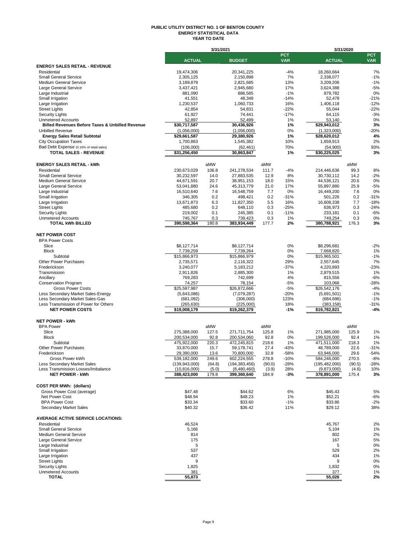#### **PUBLIC UTILITY DISTRICT NO. 1 OF BENTON COUNTY ENERGY STATISTICAL DATA YEAR TO DATE**

|                                                                          |                               | 3/31/2021      |                            |                |                          | 3/31/2020                  |                |                          |
|--------------------------------------------------------------------------|-------------------------------|----------------|----------------------------|----------------|--------------------------|----------------------------|----------------|--------------------------|
|                                                                          | <b>ACTUAL</b>                 |                | <b>BUDGET</b>              |                | <b>PCT</b><br><b>VAR</b> | <b>ACTUAL</b>              |                | <b>PCT</b><br><b>VAR</b> |
| <b>ENERGY SALES RETAIL - REVENUE</b>                                     |                               |                |                            |                |                          |                            |                |                          |
| Residential                                                              | 19,474,306                    |                | 20, 341, 225               |                | $-4%$                    | 18,260,664                 |                | 7%                       |
| <b>Small General Service</b>                                             | 2,305,125                     |                | 2,150,898                  |                | 7%                       | 2,338,077                  |                | $-1%$                    |
| <b>Medium General Service</b>                                            | 3,189,879                     |                | 2,821,685                  |                | 13%<br>17%               | 3,209,206                  |                | $-1%$<br>$-5%$           |
| Large General Service<br>Large Industrial                                | 3,437,421<br>881,090          |                | 2,945,680<br>886,585       |                | $-1%$                    | 3,624,388<br>879,782       |                | 0%                       |
| Small Irrigation                                                         | 41,551                        |                | 48,348                     |                | $-14%$                   | 52,478                     |                | $-21%$                   |
| Large Irrigation                                                         | 1,230,537                     |                | 1,060,733                  |                | 16%                      | 1,406,118                  |                | $-12%$                   |
| <b>Street Lights</b>                                                     | 42,854                        |                | 54,831                     |                | $-22%$                   | 55,044                     |                | $-22%$                   |
| <b>Security Lights</b>                                                   | 61,927                        |                | 74,441                     |                | $-17%$                   | 64,115                     |                | $-3%$                    |
| <b>Unmetered Accounts</b>                                                | 52,897                        |                | 52,499                     |                | 1%                       | 53,140                     |                | 0%                       |
| <b>Billed Revenues Before Taxes &amp; Unbilled Revenue</b>               | \$30,717,587                  |                | 30,436,926                 |                | 1%                       | \$29,943,012               |                | 3%                       |
| <b>Unbilled Revenue</b>                                                  | (1,056,000)                   |                | (1,056,000)                |                | 0%                       | (1,323,000)                |                | $-20%$                   |
| <b>Energy Sales Retail Subtotal</b>                                      | \$29,661,587                  |                | 29,380,926                 |                | 1%<br>10%                | \$28,620,012               |                | 4%<br>2%                 |
| <b>City Occupation Taxes</b><br>Bad Debt Expense (0.16% of retail sales) | 1,700,863<br>(106,000)        |                | 1,545,382<br>(62, 461)     |                | 70%                      | 1,659,913<br>(54,900)      |                | 93%                      |
| <b>TOTAL SALES - REVENUE</b>                                             | \$31,256,450                  |                | 30,863,847                 |                | 1%                       | \$30,225,025               |                | 3%                       |
| <b>ENERGY SALES RETAIL - kWh</b>                                         |                               | aMW            |                            | aMW            |                          |                            | aMW            |                          |
| Residential                                                              | 230,673,029                   | 106.8          | 241,278,534                | 111.7          | $-4%$                    | 214,446,636                | 99.3           | 8%                       |
| <b>Small General Service</b>                                             | 30,232,597                    | 14.0           | 27,883,535                 | 12.9           | 8%                       | 30,730,112                 | 14.2           | $-2%$                    |
| <b>Medium General Service</b>                                            | 44,671,591                    | 20.7           | 38,951,153                 | 18.0           | 15%                      | 44,536,121                 | 20.6           | 0%                       |
| Large General Service                                                    | 53,041,880                    | 24.6           | 45,313,779                 | 21.0           | 17%                      | 55,897,880                 | 25.9           | $-5%$                    |
| Large Industrial                                                         | 16.510.640                    | 7.6            | 16,548,759                 | 7.7            | 0%                       | 16,449,200                 | 7.6            | 0%                       |
| Small Irrigation                                                         | 346,305                       | 0.2            | 498,421                    | 0.2            | $-31%$                   | 501,226                    | 0.2            | $-31%$                   |
| Large Irrigation                                                         | 13,671,873                    | 6.3            | 11,827,350                 | 5.5            | 16%                      | 16,608,338                 | 7.7            | $-18%$                   |
| <b>Street Lights</b>                                                     | 485,680                       | 0.2            | 648,110                    | 0.3            | $-25%$                   | 636,973                    | 0.3            | $-24%$                   |
| <b>Security Lights</b><br><b>Unmetered Accounts</b>                      | 219,002<br>745,767            | 0.1<br>0.3     | 245,385<br>739,423         | 0.1<br>0.3     | $-11%$<br>1%             | 233,181<br>749,254         | 0.1<br>0.3     | $-6%$<br>0%              |
| <b>TOTAL kWh BILLED</b>                                                  | 390,598,364                   | 180.8          | 383,934,449                | 177.7          | 2%                       | 380,788,921                | 176.3          | 3%                       |
| <b>NET POWER COST</b>                                                    |                               |                |                            |                |                          |                            |                |                          |
| <b>BPA Power Costs</b>                                                   |                               |                |                            |                |                          |                            |                |                          |
| Slice                                                                    | \$8,127,714                   |                | \$8,127,714                |                | 0%                       | \$8,296,681                |                | $-2%$                    |
| <b>Block</b>                                                             | 7,739,259                     |                | 7,739,264                  |                | 0%                       | 7,668,820                  |                | 1%                       |
| Subtotal                                                                 | \$15,866,973                  |                | \$15,866,979               |                | 0%                       | \$15,965,501               |                | $-1%$                    |
| <b>Other Power Purchases</b>                                             | 2,735,571                     |                | 2,116,322                  |                | 29%                      | 2,557,645                  |                | 7%                       |
| Frederickson                                                             | 3,240,077                     |                | 5,183,212                  |                | $-37%$                   | 4,220,893                  |                | $-23%$                   |
| Transmission<br>Ancillary                                                | 2,911,826<br>769,283          |                | 2,885,300<br>742,699       |                | 1%<br>4%                 | 2,879,515<br>815,556       |                | 1%<br>$-6%$              |
| <b>Conservation Program</b>                                              | 74,257                        |                | 78,154                     |                | $-5%$                    | 103,066                    |                | $-28%$                   |
| <b>Gross Power Costs</b>                                                 | \$25,597,987                  |                | \$26,872,666               |                | $-5%$                    | \$26,542,176               |                | $-4%$                    |
| Less Secondary Market Sales-Energy                                       | (5,643,086)                   |                | (7,079,287)                |                | $-20%$                   | (5,691,501)                |                | $-1%$                    |
| Less Secondary Market Sales-Gas                                          | (681,092)                     |                | (306,000)                  |                | 123%                     | (684, 696)                 |                | $-1%$                    |
| Less Transmission of Power for Others                                    | (265, 630)                    |                | (225,000)                  |                | 18%                      | (383,158)                  |                | $-31%$                   |
| <b>NET POWER COSTS</b>                                                   | \$19,008,179                  |                | \$19,262,379               |                | -1%                      | \$19,782,821               |                | $-4%$                    |
| <b>NET POWER - kWh</b>                                                   |                               |                |                            |                |                          |                            |                |                          |
| <b>BPA Power</b>                                                         |                               | aMW            |                            | aMW            |                          |                            | aMW            |                          |
| Slice<br><b>Block</b>                                                    | 275,388,000<br>200,534,000    | 127.5<br>92.8  | 271,711,754<br>200,534,060 | 125.8<br>92.8  | 1%<br>0%                 | 271,985,000<br>199,526,000 | 125.9<br>92.4  | 1%<br>1%                 |
| Subtotal                                                                 | 475,922,000                   | 220.3          | 472,245,815                | 218.6          | 1%                       | 471,511,000                | 218.3          | 1%                       |
| <b>Other Power Purchases</b>                                             | 33,870,000                    | 15.7           | 59,178,741                 | 27.4           | $-43%$                   | 48,789,000                 | 22.6           | $-31%$                   |
| Frederickson                                                             | 29.390.000                    | 13.6           | 70.800.000                 | 32.8           | $-58%$                   | 63.946.000                 | 29.6           | $-54%$                   |
| Gross Power kWh                                                          | 539,182,000                   | 249.6          | 602,224,555                | 278.8          | $-10%$                   | 584,246,000                | 270.5          | $-8%$                    |
| Less Secondary Market Sales                                              | (139, 943, 000)               | (64.8)         | (194, 383, 456)            | (90.0)         | $-28%$                   | (195, 482, 000)            | (90.5)         | -28%                     |
| Less Transmission Losses/Imbalance<br><b>NET POWER - kWh</b>             | (10, 816, 000)<br>388,423,000 | (5.0)<br>179.8 | (8,480,460)<br>399,360,640 | (3.9)<br>184.9 | 28%<br>$-3%$             | (9,873,000)<br>378,891,000 | (4.6)<br>175.4 | 10%<br>3%                |
|                                                                          |                               |                |                            |                |                          |                            |                |                          |
| <b>COST PER MWh: (dollars)</b>                                           |                               |                |                            |                |                          |                            |                |                          |
| Gross Power Cost (average)<br>Net Power Cost                             | \$47.48<br>\$48.94            |                | \$44.62<br>\$48.23         |                | 6%<br>1%                 | \$45.43<br>\$52.21         |                | 5%<br>$-6%$              |
| <b>BPA Power Cost</b>                                                    | \$33.34                       |                | \$33.60                    |                | $-1%$                    | \$33.86                    |                | $-2%$                    |
| Secondary Market Sales                                                   | \$40.32                       |                | \$36.42                    |                | 11%                      | \$29.12                    |                | 38%                      |
| <b>AVERAGE ACTIVE SERVICE LOCATIONS:</b>                                 |                               |                |                            |                |                          |                            |                |                          |
| Residential                                                              | 46,524                        |                |                            |                |                          | 45,767                     |                | 2%                       |
| <b>Small General Service</b>                                             | 5,166                         |                |                            |                |                          | 5,104                      |                | 1%                       |
| <b>Medium General Service</b>                                            | 814                           |                |                            |                |                          | 802                        |                | 2%                       |
| Large General Service                                                    | 175                           |                |                            |                |                          | 167                        |                | 5%                       |
| Large Industrial                                                         | 5                             |                |                            |                |                          | 5                          |                | 0%                       |
| Small Irrigation<br>Large Irrigation                                     | 537<br>437                    |                |                            |                |                          | 529<br>434                 |                | 2%<br>1%                 |
| <b>Street Lights</b>                                                     | 9                             |                |                            |                |                          | 9                          |                | 0%                       |
| <b>Security Lights</b>                                                   | 1,825                         |                |                            |                |                          | 1,832                      |                | 0%                       |
| <b>Unmetered Accounts</b>                                                | 381                           |                |                            |                |                          | 377                        |                | 1%                       |
| TOTAL                                                                    | 55,873                        |                |                            |                |                          | 55,026                     |                | 2%                       |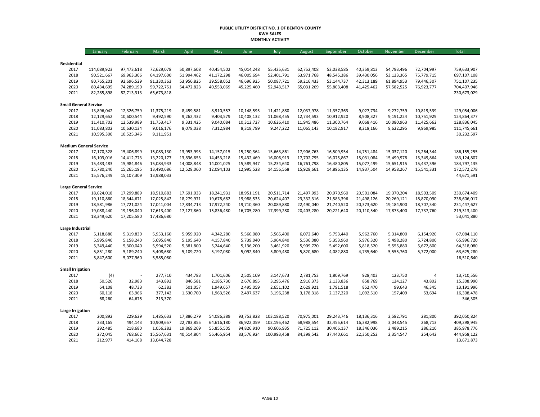#### **PUBLIC UTILITY DISTRICT NO. 1 OF BENTON COUNTY KWH SALES MONTHLY ACTIVITY**

|                              | January                       | February   | March      | April      | May        | June       | July        | August     | September  | October    | November   | December       | <b>Total</b> |
|------------------------------|-------------------------------|------------|------------|------------|------------|------------|-------------|------------|------------|------------|------------|----------------|--------------|
|                              |                               |            |            |            |            |            |             |            |            |            |            |                |              |
| Residential<br>2017          | 114,089,923                   | 97,473,618 | 72,629,078 | 50,897,608 | 40,454,502 | 45,014,248 | 55,425,631  | 62,752,408 | 53,038,585 | 40,359,813 | 54,793,496 | 72,704,997     | 759,633,907  |
| 2018                         | 90,521,667                    | 69,963,306 | 64,197,600 | 51,994,462 | 41,172,298 | 46,005,694 | 52,401,791  | 63,971,768 | 48,545,386 | 39,430,056 | 53,123,365 | 75,779,715     | 697,107,108  |
| 2019                         | 80,765,201                    | 92,696,529 | 91,330,363 | 53,956,825 | 39,558,052 | 46,696,925 | 50,087,721  | 59,216,433 | 53,144,737 | 42,313,189 | 61,894,953 | 79,446,307     | 751,107,235  |
| 2020                         | 80,434,695                    | 74,289,190 | 59,722,751 | 54,472,823 | 40,553,069 | 45,225,460 | 52,943,517  | 65,031,269 | 55,803,408 | 41,425,462 | 57,582,525 | 76,923,777     | 704,407,946  |
| 2021                         | 82,285,898                    | 82,713,313 | 65,673,818 |            |            |            |             |            |            |            |            |                | 230,673,029  |
| <b>Small General Service</b> |                               |            |            |            |            |            |             |            |            |            |            |                |              |
| 2017                         | 13,896,042                    | 12,326,759 | 11,375,219 | 8,459,581  | 8,910,557  | 10,148,595 | 11,421,880  | 12,037,978 | 11,357,363 | 9,027,734  | 9,272,759  | 10,819,539     | 129,054,006  |
| 2018                         | 12,129,652                    | 10,600,544 | 9,492,590  | 9,262,432  | 9,403,579  | 10,408,132 | 11,068,455  | 12,734,593 | 10,912,920 | 8,908,327  | 9,191,224  | 10,751,929     | 124,864,377  |
| 2019                         | 11,410,702                    | 12,539,989 | 11,753,417 | 9,331,425  | 9,040,084  | 10,312,727 | 10,626,410  | 11,945,486 | 11,300,764 | 9,068,416  | 10,080,963 | 11,425,662     | 128,836,045  |
| 2020                         | 11,083,802                    | 10,630,134 | 9,016,176  | 8,078,038  | 7,312,984  | 8,318,799  | 9,247,222   | 11,065,143 | 10,182,917 | 8,218,166  | 8,622,295  | 9,969,985      | 111,745,661  |
| 2021                         | 10,595,300                    | 10,525,346 | 9,111,951  |            |            |            |             |            |            |            |            |                | 30,232,597   |
|                              | <b>Medium General Service</b> |            |            |            |            |            |             |            |            |            |            |                |              |
| 2017                         | 17,170,328                    | 15,406,899 | 15,083,130 | 13,953,993 | 14,157,015 | 15,250,364 | 15,663,861  | 17,906,763 | 16,509,954 | 14,751,484 | 15,037,120 | 15,264,344     | 186,155,255  |
| 2018                         | 16,103,016                    | 14,412,773 | 13,220,177 | 13,836,653 | 14,453,218 | 15,432,469 | 16,006,913  | 17,702,795 | 16,075,867 | 15,031,084 | 15,499,978 | 15,349,864     | 183,124,807  |
| 2019                         | 15,483,483                    | 15,984,846 | 15,084,933 | 14,008,848 | 14,001,025 | 15,589,947 | 15,234,640  | 16,761,798 | 16,480,805 | 15,077,499 | 15,651,915 | 15,437,396     | 184,797,135  |
| 2020                         | 15,780,240                    | 15,265,195 | 13,490,686 | 12,528,060 | 12,094,103 | 12,995,528 | 14,156,568  | 15,928,661 | 14,896,135 | 14,937,504 | 14,958,267 | 15,541,331     | 172,572,278  |
| 2021                         | 15,576,249                    | 15,107,309 | 13,988,033 |            |            |            |             |            |            |            |            |                | 44,671,591   |
| <b>Large General Service</b> |                               |            |            |            |            |            |             |            |            |            |            |                |              |
| 2017                         | 18,624,018                    | 17,299,889 | 18,510,883 | 17,691,033 | 18,241,931 | 18,951,191 | 20,511,714  | 21,497,993 | 20,970,960 | 20,501,084 | 19,370,204 | 18,503,509     | 230,674,409  |
| 2018                         | 19,110,860                    | 18,344,671 | 17,025,842 | 18,279,971 | 19,678,682 | 19,988,535 | 20,624,407  | 23,332,316 | 21,583,396 | 21,498,126 | 20,269,121 | 18,870,090     | 238,606,017  |
| 2019                         | 18,581,986                    | 17,721,024 | 17,041,004 | 17,834,713 | 17,972,240 | 19,710,360 | 20,089,880  | 22,490,040 | 21,740,520 | 20,373,620 | 19,184,900 | 18,707,340     | 231,447,627  |
| 2020                         | 19,088,440                    | 19,196,040 | 17,613,400 | 17,127,860 | 15,836,480 | 16,705,280 | 17,399,280  | 20,403,280 | 20,221,640 | 20,110,540 | 17,873,400 | 17,737,760     | 219,313,400  |
| 2021                         | 18,349,620                    | 17,205,580 | 17,486,680 |            |            |            |             |            |            |            |            |                | 53,041,880   |
| Large Industrial             |                               |            |            |            |            |            |             |            |            |            |            |                |              |
| 2017                         | 5,118,880                     | 5,319,830  | 5,953,160  | 5,959,920  | 4,342,280  | 5,566,080  | 5,565,400   | 6,072,640  | 5,753,440  | 5,962,760  | 5,314,800  | 6,154,920      | 67,084,110   |
| 2018                         | 5,995,840                     | 5,158,240  | 5,695,840  | 5,195,640  | 4,157,840  | 5,739,040  | 5,964,840   | 5,536,080  | 5,353,960  | 5,976,320  | 5,498,280  | 5,724,800      | 65,996,720   |
| 2019                         | 5,349,440                     | 5,300,040  | 5,994,520  | 5,381,800  | 5,244,640  | 5,136,200  | 3,461,920   | 5,909,720  | 5,492,600  | 5,818,520  | 5,555,880  | 5,672,800      | 64,318,080   |
| 2020                         | 5,851,280                     | 5,189,240  | 5,408,680  | 5,109,720  | 5,197,080  | 5,092,840  | 5,809,480   | 5,820,680  | 4,082,880  | 4,735,640  | 5,555,760  | 5,772,000      | 63,625,280   |
| 2021                         | 5,847,600                     | 5,077,960  | 5,585,080  |            |            |            |             |            |            |            |            |                | 16,510,640   |
| <b>Small Irrigation</b>      |                               |            |            |            |            |            |             |            |            |            |            |                |              |
| 2017                         | (4)                           |            | 277,710    | 434,783    | 1,701,606  | 2,505,109  | 3,147,673   | 2,781,753  | 1,809,769  | 928,403    | 123,750    | $\overline{4}$ | 13,710,556   |
| 2018                         | 50,526                        | 32,983     | 143,892    | 846,581    | 2,185,730  | 2,676,895  | 3,295,476   | 2,916,373  | 2,133,836  | 858,769    | 124,127    | 43,802         | 15,308,990   |
| 2019                         | 64,108                        | 48,733     | 62,383     | 501,057    | 1,949,657  | 2,495,059  | 2,651,102   | 2,629,921  | 1,791,518  | 852,470    | 99,643     | 46,345         | 13,191,996   |
| 2020                         | 60,118                        | 63,966     | 377,142    | 1,530,700  | 1,963,526  | 2,497,637  | 3,196,238   | 3,178,318  | 2,137,220  | 1,092,510  | 157,409    | 53,694         | 16,308,478   |
| 2021                         | 68,260                        | 64,675     | 213,370    |            |            |            |             |            |            |            |            |                | 346,305      |
| Large Irrigation             |                               |            |            |            |            |            |             |            |            |            |            |                |              |
| 2017                         | 200,892                       | 229,629    | 1,485,633  | 17,886,279 | 54,086,389 | 93,753,828 | 103,188,520 | 70,975,001 | 29,243,746 | 18,136,316 | 2,582,791  | 281,800        | 392,050,824  |
| 2018                         | 233,165                       | 494,143    | 10,909,657 | 22,783,855 | 64,616,180 | 86,922,059 | 102,195,462 | 68,988,554 | 32,455,614 | 16,382,998 | 3,048,545  | 268,713        | 409,298,945  |
| 2019                         | 292,485                       | 218,680    | 1,056,282  | 19,869,269 | 55,855,505 | 94,826,910 | 90,606,935  | 71,725,112 | 30,406,137 | 18,346,036 | 2,489,215  | 286,210        | 385,978,776  |
| 2020                         | 272,045                       | 768,662    | 15,567,631 | 40,514,804 | 56,465,954 | 83,576,924 | 100,993,458 | 84,398,542 | 37,440,661 | 22,350,252 | 2,354,547  | 254,642        | 444,958,122  |
| 2021                         | 212,977                       | 414,168    | 13,044,728 |            |            |            |             |            |            |            |            |                | 13,671,873   |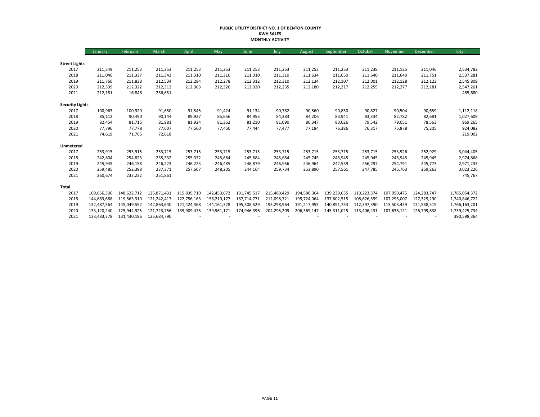#### **PUBLIC UTILITY DISTRICT NO. 1 OF BENTON COUNTY KWH SALES MONTHLY ACTIVITY**

|                        | January     | February    | March       | April       | May         | June        | July        | August      | September   | October     | November    | December    | <b>Total</b>  |
|------------------------|-------------|-------------|-------------|-------------|-------------|-------------|-------------|-------------|-------------|-------------|-------------|-------------|---------------|
|                        |             |             |             |             |             |             |             |             |             |             |             |             |               |
| <b>Street Lights</b>   |             |             |             |             |             |             |             |             |             |             |             |             |               |
| 2017                   | 211,349     | 211,253     | 211,253     | 211,253     | 211,253     | 211,253     | 211,253     | 211,253     | 211,253     | 211,238     | 211,125     | 211,046     | 2,534,782     |
| 2018                   | 211,046     | 211,337     | 211,343     | 211,310     | 211,310     | 211,310     | 211,310     | 211,634     | 211,650     | 211,640     | 211,640     | 211,751     | 2,537,281     |
| 2019                   | 211,760     | 211,838     | 212,534     | 212,284     | 212,278     | 212,312     | 212,310     | 212,134     | 212,107     | 212,001     | 212,128     | 212,123     | 2,545,809     |
| 2020                   | 212,339     | 212,322     | 212,312     | 212,303     | 212,320     | 212,320     | 212,235     | 212,180     | 212,217     | 212,255     | 212,277     | 212,181     | 2,547,261     |
| 2021                   | 212,181     | 16,848      | 256,651     |             |             |             |             |             |             |             |             |             | 485,680       |
| <b>Security Lights</b> |             |             |             |             |             |             |             |             |             |             |             |             |               |
| 2017                   | 100,963     | 100,920     | 91,650      | 91,545      | 91,424      | 91,134      | 90,782      | 90,860      | 90,850      | 90,827      | 90,504      | 90,659      | 1,112,118     |
| 2018                   | 85,112      | 90,490      | 90,144      | 89,927      | 85,656      | 84,953      | 84,383      | 84,206      | 83,941      | 83,334      | 82,782      | 82,681      | 1,027,609     |
| 2019                   | 82,454      | 81,715      | 81,981      | 81,924      | 81,362      | 81,210      | 81,090      | 80,347      | 80,026      | 79,542      | 79,051      | 78,563      | 969,265       |
| 2020                   | 77,796      | 77,778      | 77,607      | 77,560      | 77,450      | 77,444      | 77,477      | 77,184      | 76,386      | 76,317      | 75,878      | 75,205      | 924,082       |
| 2021                   | 74,619      | 71,765      | 72,618      |             |             |             |             |             |             |             |             |             | 219,002       |
| Unmetered              |             |             |             |             |             |             |             |             |             |             |             |             |               |
| 2017                   | 253,915     | 253,915     | 253,715     | 253,715     | 253,715     | 253,715     | 253,715     | 253,715     | 253,715     | 253,715     | 253,926     | 252,929     | 3,044,405     |
| 2018                   | 242,804     | 254,823     | 255,332     | 255,332     | 245,684     | 245,684     | 245,684     | 245,745     | 245,945     | 245,945     | 245,945     | 245,945     | 2,974,868     |
| 2019                   | 245,945     | 246,158     | 246,223     | 246,223     | 246,485     | 246,879     | 246,956     | 246,964     | 242,539     | 256,297     | 254,791     | 245,773     | 2,971,233     |
| 2020                   | 259,485     | 252,398     | 237,371     | 257,607     | 248,205     | 244,164     | 259,734     | 253,890     | 257,561     | 247,785     | 245,763     | 259,263     | 3,023,226     |
| 2021                   | 260,674     | 233,232     | 251,861     |             |             |             |             |             |             |             |             |             | 745,767       |
| Total                  |             |             |             |             |             |             |             |             |             |             |             |             |               |
| 2017                   | 169,666,306 | 148,622,712 | 125.871.431 | 115.839.710 | 142,450,672 | 191,745,517 | 215,480,429 | 194,580,364 | 139.239.635 | 110,223,374 | 107,050,475 | 124,283,747 | 1,785,054,372 |
| 2018                   | 144,683,688 | 119,563,310 | 121,242,417 | 122,756,163 | 156,210,177 | 187,714,771 | 212,098,721 | 195,724,064 | 137,602,515 | 108,626,599 | 107,295,007 | 127,329,290 | 1,740,846,722 |
| 2019                   | 132,487,564 | 145,049,552 | 142,863,640 | 121,424,368 | 144,161,328 | 195,308,529 | 193,298,964 | 191,217,955 | 140,891,753 | 112,397,590 | 115,503,439 | 131,558,519 | 1,766,163,201 |
| 2020                   | 133,120,240 | 125,944,925 | 121,723,756 | 139,909,475 | 139,961,171 | 174,946,396 | 204,295,209 | 206,369,147 | 145,311,025 | 113,406,431 | 107,638,121 | 126,799,838 | 1,739,425,734 |
| 2021                   | 133,483,378 | 131,430,196 | 125,684,790 |             |             |             |             |             |             |             |             |             | 390,598,364   |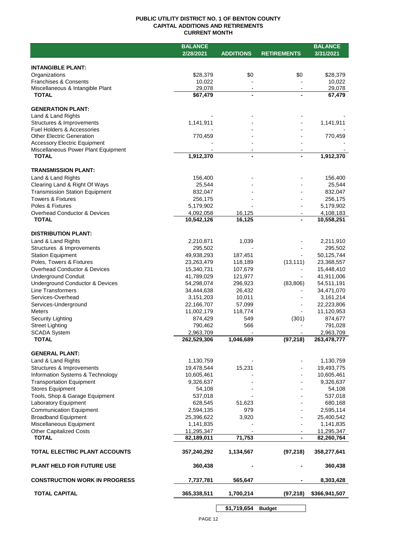## **PUBLIC UTILITY DISTRICT NO. 1 OF BENTON COUNTY CAPITAL ADDITIONS AND RETIREMENTS CURRENT MONTH**

|                                                     | <b>BALANCE</b>          |                  |                    | <b>BALANCE</b> |
|-----------------------------------------------------|-------------------------|------------------|--------------------|----------------|
|                                                     | 2/28/2021               | <b>ADDITIONS</b> | <b>RETIREMENTS</b> | 3/31/2021      |
|                                                     |                         |                  |                    |                |
| <b>INTANGIBLE PLANT:</b>                            |                         |                  |                    |                |
| Organizations                                       | \$28,379                | \$0              | \$0                | \$28,379       |
| Franchises & Consents                               | 10,022                  |                  |                    | 10,022         |
| Miscellaneous & Intangible Plant                    | 29,078                  |                  |                    | 29,078         |
| <b>TOTAL</b>                                        | \$67,479                |                  |                    | 67,479         |
|                                                     |                         |                  |                    |                |
| <b>GENERATION PLANT:</b>                            |                         |                  |                    |                |
| Land & Land Rights                                  |                         |                  |                    |                |
| Structures & Improvements                           | 1,141,911               |                  |                    | 1,141,911      |
| Fuel Holders & Accessories                          |                         |                  |                    |                |
| <b>Other Electric Generation</b>                    | 770,459                 |                  |                    | 770,459        |
| <b>Accessory Electric Equipment</b>                 |                         |                  |                    |                |
| Miscellaneous Power Plant Equipment<br><b>TOTAL</b> |                         | $\blacksquare$   |                    |                |
|                                                     | 1,912,370               |                  |                    | 1,912,370      |
| <b>TRANSMISSION PLANT:</b>                          |                         |                  |                    |                |
|                                                     |                         |                  |                    |                |
| Land & Land Rights                                  | 156,400                 |                  |                    | 156,400        |
| Clearing Land & Right Of Ways                       | 25,544                  |                  |                    | 25,544         |
| <b>Transmission Station Equipment</b>               | 832,047                 |                  |                    | 832,047        |
| Towers & Fixtures                                   | 256,175                 |                  |                    | 256,175        |
| Poles & Fixtures                                    | 5,179,902               |                  |                    | 5,179,902      |
| Overhead Conductor & Devices                        | 4,092,058               | 16,125           |                    | 4,108,183      |
| <b>TOTAL</b>                                        | $\overline{10,}542,126$ | 16,125           |                    | 10,558,251     |
|                                                     |                         |                  |                    |                |
| <b>DISTRIBUTION PLANT:</b>                          |                         |                  |                    |                |
| Land & Land Rights                                  | 2,210,871               | 1,039            |                    | 2,211,910      |
| Structures & Improvements                           | 295,502                 |                  |                    | 295,502        |
| <b>Station Equipment</b>                            | 49,938,293              | 187,451          |                    | 50,125,744     |
| Poles, Towers & Fixtures                            | 23,263,479              | 118,189          | (13, 111)          | 23,368,557     |
| <b>Overhead Conductor &amp; Devices</b>             | 15,340,731              | 107,679          |                    | 15,448,410     |
| <b>Underground Conduit</b>                          | 41,789,029              | 121,977          |                    | 41,911,006     |
| <b>Underground Conductor &amp; Devices</b>          | 54,298,074              | 296,923          | (83, 806)          | 54,511,191     |
| <b>Line Transformers</b>                            | 34,444,638              | 26,432           |                    | 34,471,070     |
| Services-Overhead                                   | 3,151,203               | 10,011           |                    | 3,161,214      |
| Services-Underground                                | 22,166,707              | 57,099           |                    | 22,223,806     |
| <b>Meters</b>                                       | 11,002,179              | 118,774          |                    | 11,120,953     |
| Security Lighting                                   | 874,429                 | 549              | (301)              | 874,677        |
| <b>Street Lighting</b>                              | 790,462                 | 566              |                    | 791,028        |
| <b>SCADA System</b><br><b>TOTAL</b>                 | 2,963,709               | 1,046,689        |                    | 2,963,709      |
|                                                     | 262,529,306             |                  | (97, 218)          | 263,478,777    |
|                                                     |                         |                  |                    |                |
| <b>GENERAL PLANT:</b>                               |                         |                  |                    |                |
| Land & Land Rights                                  | 1,130,759               |                  |                    | 1,130,759      |
| Structures & Improvements                           | 19,478,544              | 15,231           |                    | 19,493,775     |
| Information Systems & Technology                    | 10,605,461              |                  |                    | 10,605,461     |
| <b>Transportation Equipment</b>                     | 9,326,637               |                  |                    | 9,326,637      |
| <b>Stores Equipment</b>                             | 54,108                  |                  |                    | 54,108         |
| Tools, Shop & Garage Equipment                      | 537,018                 |                  |                    | 537,018        |
| Laboratory Equipment                                | 628,545                 | 51,623           |                    | 680,168        |
| <b>Communication Equipment</b>                      | 2,594,135               | 979              |                    | 2,595,114      |
| <b>Broadband Equipment</b>                          | 25,396,622              | 3,920            |                    | 25,400,542     |
| Miscellaneous Equipment                             | 1,141,835               |                  |                    | 1,141,835      |
| <b>Other Capitalized Costs</b>                      | 11,295,347              |                  |                    | 11,295,347     |
| <b>TOTAL</b>                                        | 82,189,011              | 71,753           |                    | 82,260,764     |
|                                                     |                         |                  |                    |                |
| TOTAL ELECTRIC PLANT ACCOUNTS                       | 357,240,292             | 1,134,567        | (97, 218)          | 358,277,641    |
|                                                     |                         |                  |                    |                |
| PLANT HELD FOR FUTURE USE                           | 360,438                 |                  |                    | 360,438        |
|                                                     |                         |                  |                    |                |
| <b>CONSTRUCTION WORK IN PROGRESS</b>                | 7,737,781               | 565,647          |                    | 8,303,428      |
| <b>TOTAL CAPITAL</b>                                | 365,338,511             | 1,700,214        | (97,218)           | \$366,941,507  |
|                                                     |                         |                  |                    |                |
|                                                     |                         |                  |                    |                |

**\$1,719,654 Budget**

 $\sim$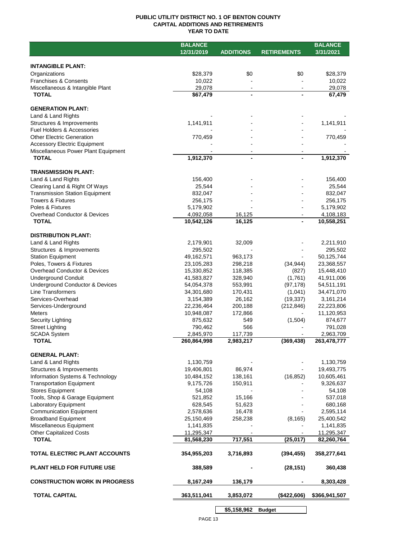## **PUBLIC UTILITY DISTRICT NO. 1 OF BENTON COUNTY CAPITAL ADDITIONS AND RETIREMENTS YEAR TO DATE**

|                                         | <b>BALANCE</b>          |                  |                    | <b>BALANCE</b> |
|-----------------------------------------|-------------------------|------------------|--------------------|----------------|
|                                         | 12/31/2019              | <b>ADDITIONS</b> | <b>RETIREMENTS</b> | 3/31/2021      |
|                                         |                         |                  |                    |                |
| <b>INTANGIBLE PLANT:</b>                |                         |                  |                    |                |
| Organizations                           | \$28,379                | \$0              | \$0                | \$28,379       |
| <b>Franchises &amp; Consents</b>        | 10,022                  |                  |                    | 10,022         |
| Miscellaneous & Intangible Plant        | 29,078                  |                  |                    | 29,078         |
| <b>TOTAL</b>                            | \$67,479                |                  |                    | 67,479         |
|                                         |                         |                  |                    |                |
| <b>GENERATION PLANT:</b>                |                         |                  |                    |                |
| Land & Land Rights                      |                         |                  |                    |                |
| Structures & Improvements               | 1,141,911               |                  |                    | 1,141,911      |
| Fuel Holders & Accessories              |                         |                  |                    |                |
| <b>Other Electric Generation</b>        | 770,459                 |                  |                    | 770,459        |
| <b>Accessory Electric Equipment</b>     |                         |                  |                    |                |
| Miscellaneous Power Plant Equipment     |                         |                  |                    |                |
| <b>TOTAL</b>                            | 1,912,370               | $\blacksquare$   |                    | 1,912,370      |
|                                         |                         |                  |                    |                |
| <b>TRANSMISSION PLANT:</b>              |                         |                  |                    |                |
| Land & Land Rights                      | 156,400                 |                  |                    | 156,400        |
| Clearing Land & Right Of Ways           | 25,544                  |                  |                    | 25,544         |
| <b>Transmission Station Equipment</b>   | 832,047                 |                  |                    | 832,047        |
| <b>Towers &amp; Fixtures</b>            | 256,175                 |                  |                    | 256,175        |
| Poles & Fixtures                        | 5,179,902               |                  |                    | 5,179,902      |
| Overhead Conductor & Devices            | 4,092,058               | 16,125           |                    | 4,108,183      |
| <b>TOTAL</b>                            | $\overline{10,}542,126$ | 16,125           |                    | 10,558,251     |
|                                         |                         |                  |                    |                |
| <b>DISTRIBUTION PLANT:</b>              |                         |                  |                    |                |
| Land & Land Rights                      | 2,179,901               | 32,009           |                    | 2,211,910      |
| Structures & Improvements               | 295,502                 |                  |                    | 295,502        |
|                                         |                         |                  |                    |                |
| <b>Station Equipment</b>                | 49,162,571              | 963,173          |                    | 50,125,744     |
| Poles, Towers & Fixtures                | 23,105,283              | 298,218          | (34, 944)          | 23,368,557     |
| <b>Overhead Conductor &amp; Devices</b> | 15,330,852              | 118,385          | (827)              | 15,448,410     |
| <b>Underground Conduit</b>              | 41,583,827              | 328,940          | (1,761)            | 41,911,006     |
| Underground Conductor & Devices         | 54,054,378              | 553,991          | (97, 178)          | 54,511,191     |
| Line Transformers                       | 34,301,680              | 170,431          | (1,041)            | 34,471,070     |
| Services-Overhead                       | 3,154,389               | 26,162           | (19, 337)          | 3,161,214      |
| Services-Underground                    | 22,236,464              | 200,188          | (212, 846)         | 22,223,806     |
| <b>Meters</b>                           | 10,948,087              | 172,866          |                    | 11,120,953     |
| Security Lighting                       | 875,632                 | 549              | (1,504)            | 874,677        |
| <b>Street Lighting</b>                  | 790,462                 | 566              |                    | 791,028        |
| <b>SCADA System</b>                     | 2,845,970               | 117,739          |                    | 2,963,709      |
| <b>TOTAL</b>                            | 260,864,998             | 2,983,217        | (369, 438)         | 263,478,777    |
|                                         |                         |                  |                    |                |
| <b>GENERAL PLANT:</b>                   |                         |                  |                    |                |
| Land & Land Rights                      | 1,130,759               |                  |                    | 1,130,759      |
| Structures & Improvements               | 19,406,801              | 86,974           |                    | 19,493,775     |
| Information Systems & Technology        | 10,484,152              | 138,161          | (16, 852)          | 10,605,461     |
| <b>Transportation Equipment</b>         | 9,175,726               | 150,911          |                    | 9,326,637      |
| <b>Stores Equipment</b>                 | 54,108                  |                  |                    | 54,108         |
| Tools, Shop & Garage Equipment          | 521,852                 | 15,166           |                    | 537,018        |
| Laboratory Equipment                    | 628,545                 | 51,623           |                    | 680,168        |
| <b>Communication Equipment</b>          | 2,578,636               | 16,478           |                    | 2,595,114      |
| <b>Broadband Equipment</b>              | 25,150,469              | 258,238          | (8, 165)           | 25,400,542     |
| Miscellaneous Equipment                 | 1,141,835               |                  |                    | 1,141,835      |
| <b>Other Capitalized Costs</b>          | 11,295,347              |                  |                    | 11,295,347     |
| <b>TOTAL</b>                            | 81,568,230              | 717,551          | (25, 017)          | 82,260,764     |
|                                         |                         |                  |                    |                |
| TOTAL ELECTRIC PLANT ACCOUNTS           | 354,955,203             | 3,716,893        | (394, 455)         | 358,277,641    |
|                                         |                         |                  |                    |                |
| <b>PLANT HELD FOR FUTURE USE</b>        | 388,589                 |                  | (28, 151)          | 360,438        |
|                                         |                         |                  |                    |                |
| <b>CONSTRUCTION WORK IN PROGRESS</b>    | 8,167,249               | 136,179          |                    | 8,303,428      |
|                                         |                         |                  |                    |                |
| <b>TOTAL CAPITAL</b>                    | 363,511,041             | 3,853,072        | (\$422,606)        | \$366,941,507  |
|                                         |                         |                  |                    |                |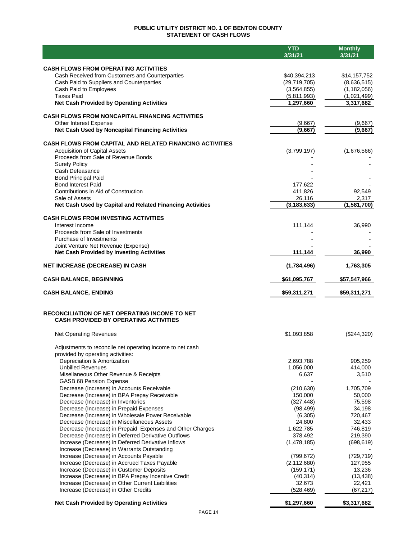## **PUBLIC UTILITY DISTRICT NO. 1 OF BENTON COUNTY STATEMENT OF CASH FLOWS**

|                                                                                                   | <b>YTD</b>               | <b>Monthly</b>           |
|---------------------------------------------------------------------------------------------------|--------------------------|--------------------------|
|                                                                                                   | 3/31/21                  | 3/31/21                  |
| <b>CASH FLOWS FROM OPERATING ACTIVITIES</b>                                                       |                          |                          |
| Cash Received from Customers and Counterparties                                                   | \$40,394,213             | \$14,157,752             |
| Cash Paid to Suppliers and Counterparties                                                         | (29, 719, 705)           | (8,636,515)              |
| Cash Paid to Employees                                                                            | (3, 564, 855)            | (1, 182, 056)            |
| <b>Taxes Paid</b><br><b>Net Cash Provided by Operating Activities</b>                             | (5,811,993)<br>1,297,660 | (1,021,499)<br>3,317,682 |
|                                                                                                   |                          |                          |
| <b>CASH FLOWS FROM NONCAPITAL FINANCING ACTIVITIES</b>                                            |                          |                          |
| Other Interest Expense                                                                            | (9,667)                  | (9,667)                  |
| Net Cash Used by Noncapital Financing Activities                                                  | (9,667)                  | (9.667)                  |
| <b>CASH FLOWS FROM CAPITAL AND RELATED FINANCING ACTIVITIES</b>                                   |                          |                          |
| <b>Acquisition of Capital Assets</b>                                                              | (3,799,197)              | (1,676,566)              |
| Proceeds from Sale of Revenue Bonds                                                               |                          |                          |
| <b>Surety Policy</b>                                                                              |                          |                          |
| Cash Defeasance<br><b>Bond Principal Paid</b>                                                     |                          |                          |
| <b>Bond Interest Paid</b>                                                                         | 177,622                  |                          |
| Contributions in Aid of Construction                                                              | 411,826                  | 92,549                   |
| Sale of Assets                                                                                    | 26,116                   | 2,317                    |
| Net Cash Used by Capital and Related Financing Activities                                         | (3, 183, 633)            | (1, 581, 700)            |
| <b>CASH FLOWS FROM INVESTING ACTIVITIES</b>                                                       |                          |                          |
| Interest Income                                                                                   | 111,144                  | 36,990                   |
| Proceeds from Sale of Investments                                                                 |                          |                          |
| Purchase of Investments                                                                           |                          |                          |
| Joint Venture Net Revenue (Expense)                                                               |                          | 36,990                   |
| <b>Net Cash Provided by Investing Activities</b>                                                  | 111,144                  |                          |
| <b>NET INCREASE (DECREASE) IN CASH</b>                                                            | (1,784,496)              | 1,763,305                |
| <b>CASH BALANCE, BEGINNING</b>                                                                    | \$61,095,767             | \$57,547,966             |
| <b>CASH BALANCE, ENDING</b>                                                                       | \$59,311,271             | \$59,311,271             |
|                                                                                                   |                          |                          |
| <b>RECONCILIATION OF NET OPERATING INCOME TO NET</b>                                              |                          |                          |
| <b>CASH PROVIDED BY OPERATING ACTIVITIES</b>                                                      |                          |                          |
| <b>Net Operating Revenues</b>                                                                     | \$1,093,858              | (\$244,320)              |
|                                                                                                   |                          |                          |
| Adjustments to reconcile net operating income to net cash<br>provided by operating activities:    |                          |                          |
| Depreciation & Amortization                                                                       | 2,693,788                | 905,259                  |
| <b>Unbilled Revenues</b>                                                                          | 1,056,000                | 414,000                  |
| Misellaneous Other Revenue & Receipts                                                             | 6,637                    | 3,510                    |
| <b>GASB 68 Pension Expense</b>                                                                    |                          |                          |
| Decrease (Increase) in Accounts Receivable                                                        | (210, 630)<br>150,000    | 1,705,709                |
| Decrease (Increase) in BPA Prepay Receivable<br>Decrease (Increase) in Inventories                | (327, 448)               | 50,000<br>75,598         |
| Decrease (Increase) in Prepaid Expenses                                                           | (98, 499)                | 34,198                   |
| Decrease (Increase) in Wholesale Power Receivable                                                 | (6,305)                  | 720,467                  |
| Decrease (Increase) in Miscellaneous Assets                                                       | 24,800                   | 32,433                   |
| Decrease (Increase) in Prepaid Expenses and Other Charges                                         | 1,622,785                | 746,819                  |
| Decrease (Increase) in Deferred Derivative Outflows                                               | 378,492                  | 219,390                  |
| Increase (Decrease) in Deferred Derivative Inflows<br>Increase (Decrease) in Warrants Outstanding | (1,478,185)              | (698, 619)               |
| Increase (Decrease) in Accounts Payable                                                           | (799, 672)               | (729, 719)               |
| Increase (Decrease) in Accrued Taxes Payable                                                      | (2, 112, 680)            | 127,955                  |
| Increase (Decrease) in Customer Deposits                                                          | (159, 171)               | 13,236                   |
| Increase (Decrease) in BPA Prepay Incentive Credit                                                | (40, 314)                | (13, 438)                |
| Increase (Decrease) in Other Current Liabilities                                                  | 32,673                   | 22,421                   |
| Increase (Decrease) in Other Credits                                                              | (528, 469)               | (67, 217)                |
| <b>Net Cash Provided by Operating Activities</b>                                                  | \$1,297,660              | \$3,317,682              |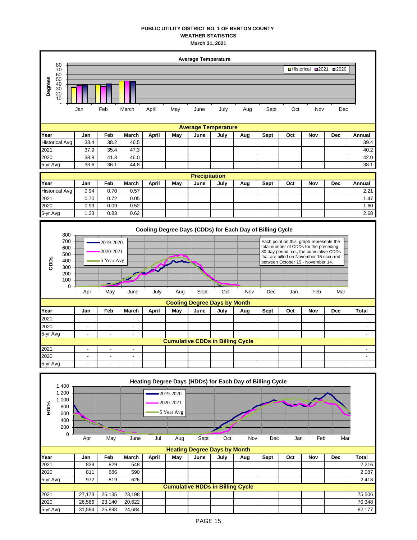## **PUBLIC UTILITY DISTRICT NO. 1 OF BENTON COUNTY WEATHER STATISTICS March 31, 2021**

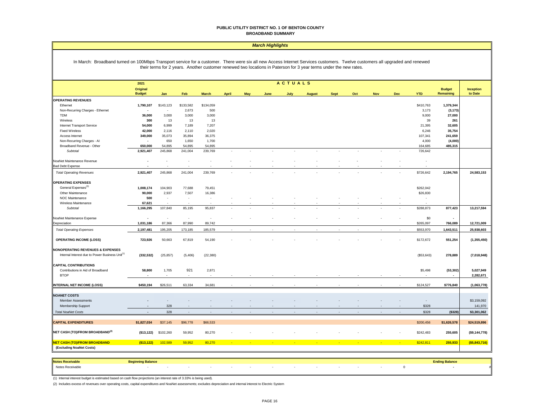#### **PUBLIC UTILITY DISTRICT NO. 1 OF BENTON COUNTY BROADBAND SUMMARY**

#### *March Highlights*

#### In March: Broadband turned on 100Mbps Transport service for a customer. There were six all new Access Internet Services customers. Twelve customers all upgraded and renewed their terms for 2 years. Another customer renewed two locations in Paterson for 3 year terms under the new rates.

|                                                             | ACTUALS<br>2021           |                          |                          |                          |                             |     |                          |                 |                          |                          |        |            |            |                          |                            |                             |
|-------------------------------------------------------------|---------------------------|--------------------------|--------------------------|--------------------------|-----------------------------|-----|--------------------------|-----------------|--------------------------|--------------------------|--------|------------|------------|--------------------------|----------------------------|-----------------------------|
|                                                             | Original<br><b>Budget</b> | Jan                      | Feb                      | <b>March</b>             | April                       | May | June                     | July            | <b>August</b>            | <b>Sept</b>              | Oct    | <b>Nov</b> | <b>Dec</b> | <b>YTD</b>               | <b>Budget</b><br>Remaining | <b>Inception</b><br>to Date |
| <b>OPERATING REVENUES</b>                                   |                           |                          |                          |                          |                             |     |                          |                 |                          |                          |        |            |            |                          |                            |                             |
| Ethernet                                                    | 1,790,107                 | \$143,123                | \$133,582                | \$134,059                |                             |     |                          |                 |                          |                          |        |            |            | \$410,763                | 1,379,344                  |                             |
| Non-Recurring Charges - Ethernet                            |                           | $\overline{\phantom{a}}$ | 2,673                    | 500                      |                             |     |                          |                 |                          |                          |        |            |            | 3,173                    | (3, 173)                   |                             |
| <b>TDM</b>                                                  | 36,000                    | 3,000                    | 3,000                    | 3,000                    |                             |     |                          |                 |                          |                          |        |            |            | 9,000                    | 27,000                     |                             |
| Wireless                                                    | 300                       | 13                       | 13                       | 13                       |                             |     |                          |                 |                          |                          |        |            |            | 39                       | 261                        |                             |
| Internet Transport Service                                  | 54,000                    | 6,999                    | 7,189                    | 7,207                    |                             |     |                          |                 |                          |                          |        |            |            | 21,395                   | 32,605                     |                             |
| <b>Fixed Wireless</b>                                       | 42,000                    | 2,116                    | 2,110                    | 2,020                    |                             |     |                          |                 |                          |                          |        |            |            | 6,246                    | 35,754                     |                             |
| Access Internet                                             | 349,000                   | 35,073                   | 35,894                   | 36,375                   |                             |     |                          |                 |                          |                          |        |            |            | 107,341                  | 241,659                    |                             |
| Non-Recurring Charges - Al                                  | $\overline{\phantom{a}}$  | 650                      | 1,650                    | 1,700                    |                             |     |                          |                 |                          |                          |        |            |            | 4,000                    | (4,000)                    |                             |
| Broadband Revenue - Other                                   | 650,000                   | 54,895                   | 54,895                   | 54,895                   |                             |     |                          |                 |                          |                          |        |            |            | 164,685                  | 485,315                    |                             |
| Subtotal                                                    | 2,921,407                 | 245,868                  | 241,004                  | 239,769                  | $\sim$                      | ÷.  | $\overline{\phantom{a}}$ | ÷               | $\sim$                   |                          | $\sim$ | $\sim$     |            | 726,642                  |                            |                             |
| NoaNet Maintenance Revenue                                  | $\overline{\phantom{a}}$  |                          | $\sim$                   |                          |                             |     |                          |                 |                          |                          |        |            |            | $\overline{\phantom{a}}$ |                            |                             |
| <b>Bad Debt Expense</b>                                     |                           |                          |                          |                          |                             |     |                          |                 |                          |                          |        |            |            |                          |                            |                             |
| <b>Total Operating Revenues</b>                             | 2,921,407                 | 245,868                  | 241,004                  | 239,769                  |                             |     |                          |                 |                          |                          |        |            |            | \$726,642                | 2,194,765                  | 24,583,153                  |
| <b>OPERATING EXPENSES</b>                                   |                           |                          |                          |                          |                             |     |                          |                 |                          |                          |        |            |            |                          |                            |                             |
| General Expenses <sup>(3)</sup>                             | 1,008,174                 | 104,903                  | 77,688                   | 79,451                   |                             |     |                          |                 |                          |                          |        |            |            | \$262,042                |                            |                             |
| Other Maintenance                                           | 90,000                    | 2,937                    | 7,507                    | 16,386                   |                             |     |                          |                 |                          |                          |        |            |            | \$26,830                 |                            |                             |
| NOC Maintenance                                             | 500                       | $\overline{\phantom{a}}$ | $\overline{\phantom{a}}$ | $\overline{\phantom{a}}$ |                             |     |                          |                 |                          |                          |        |            |            | $\sim$                   |                            |                             |
| Wireless Maintenance                                        | 67,621                    |                          |                          |                          |                             |     |                          |                 |                          |                          |        |            |            |                          |                            |                             |
| Subtotal                                                    | 1,166,295                 | 107,840                  | 85,195                   | 95,837                   |                             |     |                          |                 |                          |                          |        |            |            | \$288,873                | 877,423                    | 13,217,594                  |
| NoaNet Maintenance Expense                                  |                           | $\overline{\phantom{a}}$ | $\sim$                   | $\overline{\phantom{a}}$ |                             |     |                          |                 |                          |                          |        |            |            | \$0                      | $\overline{\phantom{a}}$   |                             |
| Depreciation                                                | 1,031,186                 | 87,366                   | 87,990                   | 89,742                   |                             |     |                          |                 |                          |                          |        |            |            | \$265,097                | 766,089                    | 12,721,009                  |
| <b>Total Operating Expenses</b>                             | 2,197,481                 | 195,205                  | 173,185                  | 185,579                  |                             |     |                          |                 |                          |                          | $\sim$ |            |            | \$553,970                | 1,643,511                  | 25,938,603                  |
|                                                             |                           |                          |                          |                          |                             |     |                          |                 |                          |                          |        |            |            |                          |                            |                             |
| <b>OPERATING INCOME (LOSS)</b>                              | 723,926                   | 50,663                   | 67,819                   | 54,190                   |                             |     |                          |                 |                          |                          |        |            |            | \$172,672                | 551,254                    | (1, 355, 450)               |
| <b>NONOPERATING REVENUES &amp; EXPENSES</b>                 |                           |                          |                          |                          |                             |     |                          |                 |                          |                          |        |            |            |                          |                            |                             |
| Internal Interest due to Power Business Unit <sup>(1)</sup> | (332, 532)                | (25, 857)                | (5, 406)                 | (22, 380)                |                             |     |                          |                 |                          |                          |        |            |            | (\$53,643)               | 278,889                    | (7,018,948)                 |
| <b>CAPITAL CONTRIBUTIONS</b>                                |                           |                          |                          |                          |                             |     |                          |                 |                          |                          |        |            |            |                          |                            |                             |
| Contributions in Aid of Broadband                           | 58,800                    | 1,705                    | 921                      | 2,871                    |                             |     |                          |                 |                          |                          |        |            |            | \$5,498                  | (53, 302)                  | 5,027,949                   |
| <b>BTOP</b>                                                 |                           | $\sim$                   |                          |                          |                             |     |                          |                 |                          |                          |        |            |            |                          | $\overline{\phantom{a}}$   | 2,282,671                   |
| <b>INTERNAL NET INCOME (LOSS)</b>                           | \$450,194                 | \$26,511                 | 63,334                   | 34,681                   |                             |     |                          |                 |                          |                          |        |            |            | \$124,527                | \$776,840                  | (1,063,778)                 |
|                                                             |                           |                          |                          |                          |                             |     |                          |                 |                          |                          |        |            |            |                          |                            |                             |
| <b>NOANET COSTS</b>                                         |                           |                          |                          |                          |                             |     |                          |                 |                          |                          |        |            |            |                          |                            |                             |
| Member Assessments                                          |                           |                          |                          |                          |                             |     |                          |                 |                          |                          |        |            |            | $\sim$                   |                            | \$3,159,092                 |
| Membership Support                                          |                           | 328                      |                          |                          |                             |     |                          |                 |                          |                          |        |            |            | \$328                    |                            | 141,970                     |
| <b>Total NoaNet Costs</b>                                   | $\overline{\phantom{a}}$  | 328                      | $\sim$                   |                          |                             |     |                          |                 |                          |                          |        |            |            | \$328                    | (\$328)                    | \$3,301,062                 |
| <b>CAPITAL EXPENDITURES</b>                                 | \$1,827,034               | \$37,145                 | \$96,778                 | \$66,533                 |                             |     |                          |                 |                          |                          |        |            |            | \$200,456                | \$1,626,578                | \$24,519,896                |
| NET CASH (TO)/FROM BROADBAND <sup>(2)</sup>                 | (\$13, 122)               | \$102,260                | 59,952                   | 80,270                   |                             |     |                          |                 |                          |                          |        |            |            | \$242,483                | 255,605                    | (\$9,144,778)               |
| <b>NET CASH (TO)/FROM BROADBAND</b>                         | ( \$13, 122)              | 102,589                  | 59,952                   | 80,270                   | $\mathcal{L}_{\mathcal{A}}$ | - 1 | $\mathbf{L}$             | <b>Contract</b> | <b>Service Contracts</b> | <b>Contract Contract</b> | $\sim$ | ÷.         | - 1        | \$242,811                | 255,933                    | ( \$5,843,716)              |
| (Excluding NoaNet Costs)                                    |                           |                          |                          |                          |                             |     |                          |                 |                          |                          |        |            |            |                          |                            |                             |

| Notes Receival   | ng Palance |  |  |        |  |  |  |  |
|------------------|------------|--|--|--------|--|--|--|--|
| Notes Receivable |            |  |  | $\sim$ |  |  |  |  |

(1) Internal interest budget is estimated based on cash flow projections (an interest rate of 3.33% is being used).

(2) Includes excess of revenues over operating costs, capital expenditures and NoaNet assessments; excludes depreciation and internal interest to Electric System